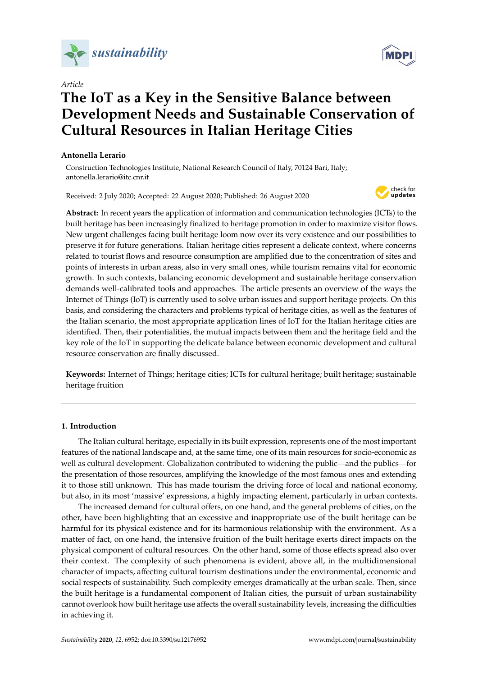

*Article*

# **The IoT as a Key in the Sensitive Balance between Development Needs and Sustainable Conservation of Cultural Resources in Italian Heritage Cities**

# **Antonella Lerario**

Construction Technologies Institute, National Research Council of Italy, 70124 Bari, Italy; antonella.lerario@itc.cnr.it

Received: 2 July 2020; Accepted: 22 August 2020; Published: 26 August 2020



**Abstract:** In recent years the application of information and communication technologies (ICTs) to the built heritage has been increasingly finalized to heritage promotion in order to maximize visitor flows. New urgent challenges facing built heritage loom now over its very existence and our possibilities to preserve it for future generations. Italian heritage cities represent a delicate context, where concerns related to tourist flows and resource consumption are amplified due to the concentration of sites and points of interests in urban areas, also in very small ones, while tourism remains vital for economic growth. In such contexts, balancing economic development and sustainable heritage conservation demands well-calibrated tools and approaches. The article presents an overview of the ways the Internet of Things (IoT) is currently used to solve urban issues and support heritage projects. On this basis, and considering the characters and problems typical of heritage cities, as well as the features of the Italian scenario, the most appropriate application lines of IoT for the Italian heritage cities are identified. Then, their potentialities, the mutual impacts between them and the heritage field and the key role of the IoT in supporting the delicate balance between economic development and cultural resource conservation are finally discussed.

**Keywords:** Internet of Things; heritage cities; ICTs for cultural heritage; built heritage; sustainable heritage fruition

# **1. Introduction**

The Italian cultural heritage, especially in its built expression, represents one of the most important features of the national landscape and, at the same time, one of its main resources for socio-economic as well as cultural development. Globalization contributed to widening the public—and the publics—for the presentation of those resources, amplifying the knowledge of the most famous ones and extending it to those still unknown. This has made tourism the driving force of local and national economy, but also, in its most 'massive' expressions, a highly impacting element, particularly in urban contexts.

The increased demand for cultural offers, on one hand, and the general problems of cities, on the other, have been highlighting that an excessive and inappropriate use of the built heritage can be harmful for its physical existence and for its harmonious relationship with the environment. As a matter of fact, on one hand, the intensive fruition of the built heritage exerts direct impacts on the physical component of cultural resources. On the other hand, some of those effects spread also over their context. The complexity of such phenomena is evident, above all, in the multidimensional character of impacts, affecting cultural tourism destinations under the environmental, economic and social respects of sustainability. Such complexity emerges dramatically at the urban scale. Then, since the built heritage is a fundamental component of Italian cities, the pursuit of urban sustainability cannot overlook how built heritage use affects the overall sustainability levels, increasing the difficulties in achieving it.

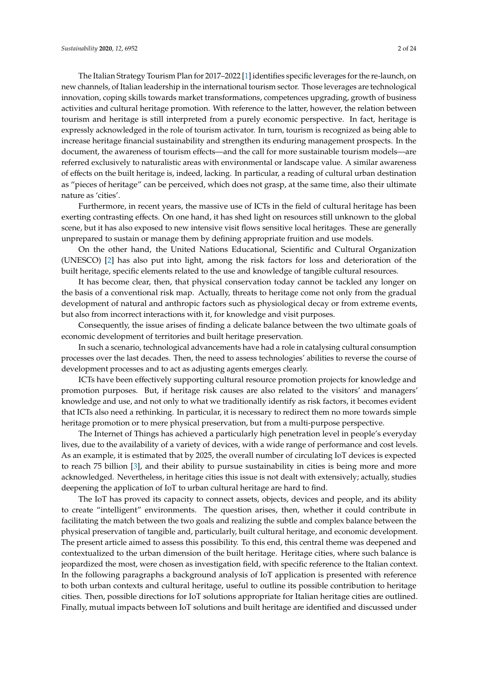The Italian Strategy Tourism Plan for 2017–2022 [\[1\]](#page-17-0) identifies specific leverages for the re-launch, on new channels, of Italian leadership in the international tourism sector. Those leverages are technological innovation, coping skills towards market transformations, competences upgrading, growth of business activities and cultural heritage promotion. With reference to the latter, however, the relation between tourism and heritage is still interpreted from a purely economic perspective. In fact, heritage is expressly acknowledged in the role of tourism activator. In turn, tourism is recognized as being able to increase heritage financial sustainability and strengthen its enduring management prospects. In the document, the awareness of tourism effects—and the call for more sustainable tourism models—are referred exclusively to naturalistic areas with environmental or landscape value. A similar awareness of effects on the built heritage is, indeed, lacking. In particular, a reading of cultural urban destination as "pieces of heritage" can be perceived, which does not grasp, at the same time, also their ultimate nature as 'cities'.

Furthermore, in recent years, the massive use of ICTs in the field of cultural heritage has been exerting contrasting effects. On one hand, it has shed light on resources still unknown to the global scene, but it has also exposed to new intensive visit flows sensitive local heritages. These are generally unprepared to sustain or manage them by defining appropriate fruition and use models.

On the other hand, the United Nations Educational, Scientific and Cultural Organization (UNESCO) [\[2\]](#page-17-1) has also put into light, among the risk factors for loss and deterioration of the built heritage, specific elements related to the use and knowledge of tangible cultural resources.

It has become clear, then, that physical conservation today cannot be tackled any longer on the basis of a conventional risk map. Actually, threats to heritage come not only from the gradual development of natural and anthropic factors such as physiological decay or from extreme events, but also from incorrect interactions with it, for knowledge and visit purposes.

Consequently, the issue arises of finding a delicate balance between the two ultimate goals of economic development of territories and built heritage preservation.

In such a scenario, technological advancements have had a role in catalysing cultural consumption processes over the last decades. Then, the need to assess technologies' abilities to reverse the course of development processes and to act as adjusting agents emerges clearly.

ICTs have been effectively supporting cultural resource promotion projects for knowledge and promotion purposes. But, if heritage risk causes are also related to the visitors' and managers' knowledge and use, and not only to what we traditionally identify as risk factors, it becomes evident that ICTs also need a rethinking. In particular, it is necessary to redirect them no more towards simple heritage promotion or to mere physical preservation, but from a multi-purpose perspective.

The Internet of Things has achieved a particularly high penetration level in people's everyday lives, due to the availability of a variety of devices, with a wide range of performance and cost levels. As an example, it is estimated that by 2025, the overall number of circulating IoT devices is expected to reach 75 billion [\[3\]](#page-17-2), and their ability to pursue sustainability in cities is being more and more acknowledged. Nevertheless, in heritage cities this issue is not dealt with extensively; actually, studies deepening the application of IoT to urban cultural heritage are hard to find.

The IoT has proved its capacity to connect assets, objects, devices and people, and its ability to create "intelligent" environments. The question arises, then, whether it could contribute in facilitating the match between the two goals and realizing the subtle and complex balance between the physical preservation of tangible and, particularly, built cultural heritage, and economic development. The present article aimed to assess this possibility. To this end, this central theme was deepened and contextualized to the urban dimension of the built heritage. Heritage cities, where such balance is jeopardized the most, were chosen as investigation field, with specific reference to the Italian context. In the following paragraphs a background analysis of IoT application is presented with reference to both urban contexts and cultural heritage, useful to outline its possible contribution to heritage cities. Then, possible directions for IoT solutions appropriate for Italian heritage cities are outlined. Finally, mutual impacts between IoT solutions and built heritage are identified and discussed under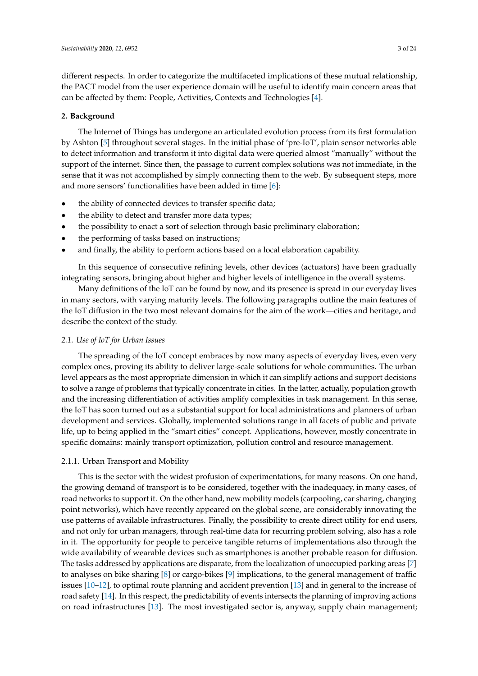different respects. In order to categorize the multifaceted implications of these mutual relationship, the PACT model from the user experience domain will be useful to identify main concern areas that can be affected by them: People, Activities, Contexts and Technologies [\[4\]](#page-17-3).

## **2. Background**

The Internet of Things has undergone an articulated evolution process from its first formulation by Ashton [\[5\]](#page-17-4) throughout several stages. In the initial phase of 'pre-IoT', plain sensor networks able to detect information and transform it into digital data were queried almost "manually" without the support of the internet. Since then, the passage to current complex solutions was not immediate, in the sense that it was not accomplished by simply connecting them to the web. By subsequent steps, more and more sensors' functionalities have been added in time [\[6\]](#page-17-5):

- the ability of connected devices to transfer specific data;
- the ability to detect and transfer more data types;
- the possibility to enact a sort of selection through basic preliminary elaboration;
- the performing of tasks based on instructions;
- and finally, the ability to perform actions based on a local elaboration capability.

In this sequence of consecutive refining levels, other devices (actuators) have been gradually integrating sensors, bringing about higher and higher levels of intelligence in the overall systems.

Many definitions of the IoT can be found by now, and its presence is spread in our everyday lives in many sectors, with varying maturity levels. The following paragraphs outline the main features of the IoT diffusion in the two most relevant domains for the aim of the work—cities and heritage, and describe the context of the study.

## <span id="page-2-0"></span>*2.1. Use of IoT for Urban Issues*

The spreading of the IoT concept embraces by now many aspects of everyday lives, even very complex ones, proving its ability to deliver large-scale solutions for whole communities. The urban level appears as the most appropriate dimension in which it can simplify actions and support decisions to solve a range of problems that typically concentrate in cities. In the latter, actually, population growth and the increasing differentiation of activities amplify complexities in task management. In this sense, the IoT has soon turned out as a substantial support for local administrations and planners of urban development and services. Globally, implemented solutions range in all facets of public and private life, up to being applied in the "smart cities" concept. Applications, however, mostly concentrate in specific domains: mainly transport optimization, pollution control and resource management.

## 2.1.1. Urban Transport and Mobility

This is the sector with the widest profusion of experimentations, for many reasons. On one hand, the growing demand of transport is to be considered, together with the inadequacy, in many cases, of road networks to support it. On the other hand, new mobility models (carpooling, car sharing, charging point networks), which have recently appeared on the global scene, are considerably innovating the use patterns of available infrastructures. Finally, the possibility to create direct utility for end users, and not only for urban managers, through real-time data for recurring problem solving, also has a role in it. The opportunity for people to perceive tangible returns of implementations also through the wide availability of wearable devices such as smartphones is another probable reason for diffusion. The tasks addressed by applications are disparate, from the localization of unoccupied parking areas [\[7\]](#page-17-6) to analyses on bike sharing [\[8\]](#page-17-7) or cargo-bikes [\[9\]](#page-17-8) implications, to the general management of traffic issues [\[10–](#page-17-9)[12\]](#page-18-0), to optimal route planning and accident prevention [\[13\]](#page-18-1) and in general to the increase of road safety [\[14\]](#page-18-2). In this respect, the predictability of events intersects the planning of improving actions on road infrastructures [\[13\]](#page-18-1). The most investigated sector is, anyway, supply chain management;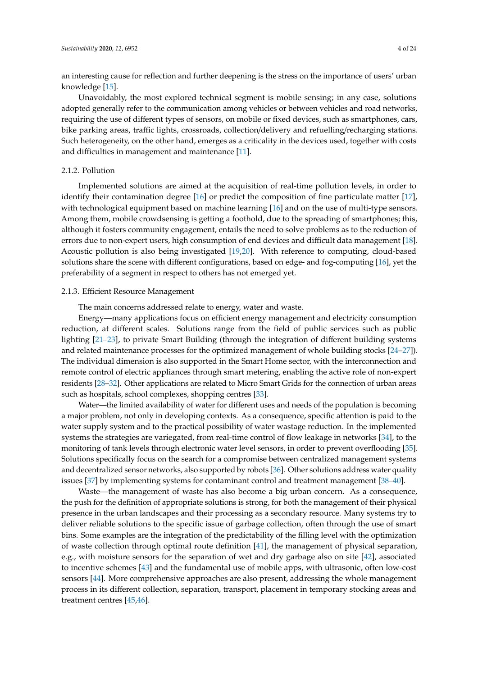an interesting cause for reflection and further deepening is the stress on the importance of users' urban knowledge [\[15\]](#page-18-3).

Unavoidably, the most explored technical segment is mobile sensing; in any case, solutions adopted generally refer to the communication among vehicles or between vehicles and road networks, requiring the use of different types of sensors, on mobile or fixed devices, such as smartphones, cars, bike parking areas, traffic lights, crossroads, collection/delivery and refuelling/recharging stations. Such heterogeneity, on the other hand, emerges as a criticality in the devices used, together with costs and difficulties in management and maintenance [\[11\]](#page-18-4).

#### 2.1.2. Pollution

Implemented solutions are aimed at the acquisition of real-time pollution levels, in order to identify their contamination degree [\[16\]](#page-18-5) or predict the composition of fine particulate matter [\[17\]](#page-18-6), with technological equipment based on machine learning [\[16\]](#page-18-5) and on the use of multi-type sensors. Among them, mobile crowdsensing is getting a foothold, due to the spreading of smartphones; this, although it fosters community engagement, entails the need to solve problems as to the reduction of errors due to non-expert users, high consumption of end devices and difficult data management [\[18\]](#page-18-7). Acoustic pollution is also being investigated [\[19,](#page-18-8)[20\]](#page-18-9). With reference to computing, cloud-based solutions share the scene with different configurations, based on edge- and fog-computing [\[16\]](#page-18-5), yet the preferability of a segment in respect to others has not emerged yet.

#### 2.1.3. Efficient Resource Management

The main concerns addressed relate to energy, water and waste.

Energy—many applications focus on efficient energy management and electricity consumption reduction, at different scales. Solutions range from the field of public services such as public lighting [\[21–](#page-18-10)[23\]](#page-18-11), to private Smart Building (through the integration of different building systems and related maintenance processes for the optimized management of whole building stocks [\[24](#page-18-12)[–27\]](#page-18-13)). The individual dimension is also supported in the Smart Home sector, with the interconnection and remote control of electric appliances through smart metering, enabling the active role of non-expert residents [\[28–](#page-18-14)[32\]](#page-19-0). Other applications are related to Micro Smart Grids for the connection of urban areas such as hospitals, school complexes, shopping centres [\[33\]](#page-19-1).

Water—the limited availability of water for different uses and needs of the population is becoming a major problem, not only in developing contexts. As a consequence, specific attention is paid to the water supply system and to the practical possibility of water wastage reduction. In the implemented systems the strategies are variegated, from real-time control of flow leakage in networks [\[34\]](#page-19-2), to the monitoring of tank levels through electronic water level sensors, in order to prevent overflooding [\[35\]](#page-19-3). Solutions specifically focus on the search for a compromise between centralized management systems and decentralized sensor networks, also supported by robots [\[36\]](#page-19-4). Other solutions address water quality issues [\[37\]](#page-19-5) by implementing systems for contaminant control and treatment management [\[38–](#page-19-6)[40\]](#page-19-7).

Waste—the management of waste has also become a big urban concern. As a consequence, the push for the definition of appropriate solutions is strong, for both the management of their physical presence in the urban landscapes and their processing as a secondary resource. Many systems try to deliver reliable solutions to the specific issue of garbage collection, often through the use of smart bins. Some examples are the integration of the predictability of the filling level with the optimization of waste collection through optimal route definition [\[41\]](#page-19-8), the management of physical separation, e.g., with moisture sensors for the separation of wet and dry garbage also on site [\[42\]](#page-19-9), associated to incentive schemes [\[43\]](#page-19-10) and the fundamental use of mobile apps, with ultrasonic, often low-cost sensors [\[44\]](#page-19-11). More comprehensive approaches are also present, addressing the whole management process in its different collection, separation, transport, placement in temporary stocking areas and treatment centres [\[45](#page-19-12)[,46\]](#page-19-13).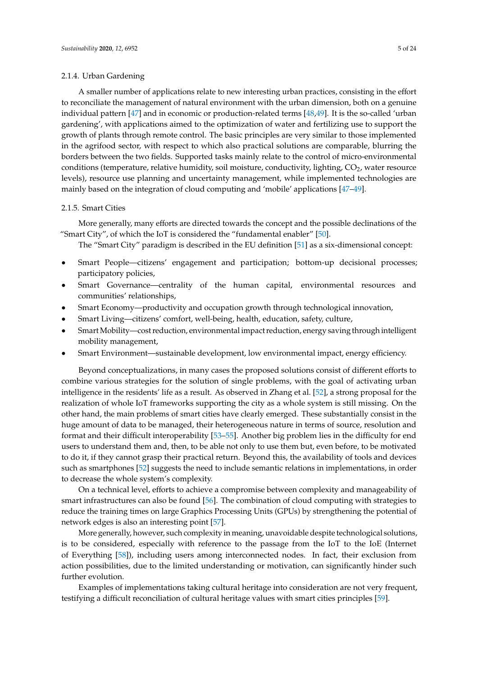#### 2.1.4. Urban Gardening

A smaller number of applications relate to new interesting urban practices, consisting in the effort to reconciliate the management of natural environment with the urban dimension, both on a genuine individual pattern [\[47\]](#page-20-0) and in economic or production-related terms [\[48,](#page-20-1)[49\]](#page-20-2). It is the so-called 'urban gardening', with applications aimed to the optimization of water and fertilizing use to support the growth of plants through remote control. The basic principles are very similar to those implemented in the agrifood sector, with respect to which also practical solutions are comparable, blurring the borders between the two fields. Supported tasks mainly relate to the control of micro-environmental conditions (temperature, relative humidity, soil moisture, conductivity, lighting, CO<sub>2</sub>, water resource levels), resource use planning and uncertainty management, while implemented technologies are mainly based on the integration of cloud computing and 'mobile' applications [\[47–](#page-20-0)[49\]](#page-20-2).

## <span id="page-4-0"></span>2.1.5. Smart Cities

More generally, many efforts are directed towards the concept and the possible declinations of the "Smart City", of which the IoT is considered the "fundamental enabler" [\[50\]](#page-20-3).

The "Smart City" paradigm is described in the EU definition [\[51\]](#page-20-4) as a six-dimensional concept:

- Smart People—citizens' engagement and participation; bottom-up decisional processes; participatory policies,
- Smart Governance—centrality of the human capital, environmental resources and communities' relationships,
- Smart Economy—productivity and occupation growth through technological innovation,
- Smart Living—citizens' comfort, well-being, health, education, safety, culture,
- SmartMobility—cost reduction, environmental impact reduction, energy saving through intelligent mobility management,
- Smart Environment—sustainable development, low environmental impact, energy efficiency.

Beyond conceptualizations, in many cases the proposed solutions consist of different efforts to combine various strategies for the solution of single problems, with the goal of activating urban intelligence in the residents' life as a result. As observed in Zhang et al. [\[52\]](#page-20-5), a strong proposal for the realization of whole IoT frameworks supporting the city as a whole system is still missing. On the other hand, the main problems of smart cities have clearly emerged. These substantially consist in the huge amount of data to be managed, their heterogeneous nature in terms of source, resolution and format and their difficult interoperability [\[53](#page-20-6)[–55\]](#page-20-7). Another big problem lies in the difficulty for end users to understand them and, then, to be able not only to use them but, even before, to be motivated to do it, if they cannot grasp their practical return. Beyond this, the availability of tools and devices such as smartphones [\[52\]](#page-20-5) suggests the need to include semantic relations in implementations, in order to decrease the whole system's complexity.

On a technical level, efforts to achieve a compromise between complexity and manageability of smart infrastructures can also be found [\[56\]](#page-20-8). The combination of cloud computing with strategies to reduce the training times on large Graphics Processing Units (GPUs) by strengthening the potential of network edges is also an interesting point [\[57\]](#page-20-9).

More generally, however, such complexity in meaning, unavoidable despite technological solutions, is to be considered, especially with reference to the passage from the IoT to the IoE (Internet of Everything [\[58\]](#page-20-10)), including users among interconnected nodes. In fact, their exclusion from action possibilities, due to the limited understanding or motivation, can significantly hinder such further evolution.

Examples of implementations taking cultural heritage into consideration are not very frequent, testifying a difficult reconciliation of cultural heritage values with smart cities principles [\[59\]](#page-20-11).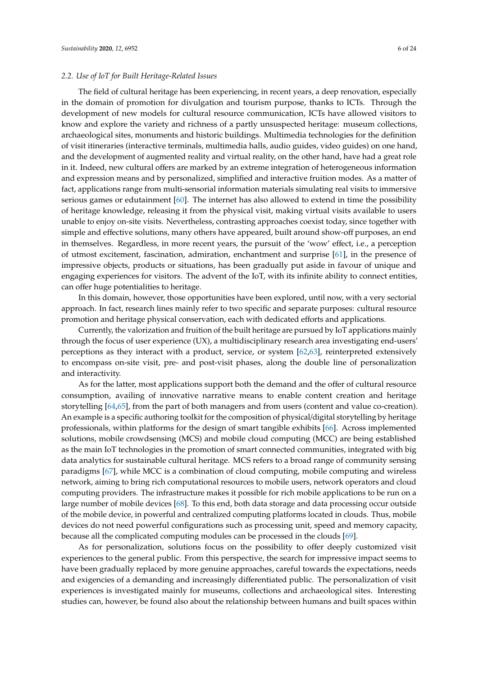#### <span id="page-5-0"></span>*2.2. Use of IoT for Built Heritage-Related Issues*

The field of cultural heritage has been experiencing, in recent years, a deep renovation, especially in the domain of promotion for divulgation and tourism purpose, thanks to ICTs. Through the development of new models for cultural resource communication, ICTs have allowed visitors to know and explore the variety and richness of a partly unsuspected heritage: museum collections, archaeological sites, monuments and historic buildings. Multimedia technologies for the definition of visit itineraries (interactive terminals, multimedia halls, audio guides, video guides) on one hand, and the development of augmented reality and virtual reality, on the other hand, have had a great role in it. Indeed, new cultural offers are marked by an extreme integration of heterogeneous information and expression means and by personalized, simplified and interactive fruition modes. As a matter of fact, applications range from multi-sensorial information materials simulating real visits to immersive serious games or edutainment [\[60\]](#page-20-12). The internet has also allowed to extend in time the possibility of heritage knowledge, releasing it from the physical visit, making virtual visits available to users unable to enjoy on-site visits. Nevertheless, contrasting approaches coexist today, since together with simple and effective solutions, many others have appeared, built around show-off purposes, an end in themselves. Regardless, in more recent years, the pursuit of the 'wow' effect, i.e., a perception of utmost excitement, fascination, admiration, enchantment and surprise [\[61\]](#page-20-13), in the presence of impressive objects, products or situations, has been gradually put aside in favour of unique and engaging experiences for visitors. The advent of the IoT, with its infinite ability to connect entities, can offer huge potentialities to heritage.

In this domain, however, those opportunities have been explored, until now, with a very sectorial approach. In fact, research lines mainly refer to two specific and separate purposes: cultural resource promotion and heritage physical conservation, each with dedicated efforts and applications.

Currently, the valorization and fruition of the built heritage are pursued by IoT applications mainly through the focus of user experience (UX), a multidisciplinary research area investigating end-users' perceptions as they interact with a product, service, or system [\[62,](#page-20-14)[63\]](#page-20-15), reinterpreted extensively to encompass on-site visit, pre- and post-visit phases, along the double line of personalization and interactivity.

As for the latter, most applications support both the demand and the offer of cultural resource consumption, availing of innovative narrative means to enable content creation and heritage storytelling [\[64](#page-20-16)[,65\]](#page-20-17), from the part of both managers and from users (content and value co-creation). An example is a specific authoring toolkit for the composition of physical/digital storytelling by heritage professionals, within platforms for the design of smart tangible exhibits [\[66\]](#page-20-18). Across implemented solutions, mobile crowdsensing (MCS) and mobile cloud computing (MCC) are being established as the main IoT technologies in the promotion of smart connected communities, integrated with big data analytics for sustainable cultural heritage. MCS refers to a broad range of community sensing paradigms [\[67\]](#page-21-0), while MCC is a combination of cloud computing, mobile computing and wireless network, aiming to bring rich computational resources to mobile users, network operators and cloud computing providers. The infrastructure makes it possible for rich mobile applications to be run on a large number of mobile devices [\[68\]](#page-21-1). To this end, both data storage and data processing occur outside of the mobile device, in powerful and centralized computing platforms located in clouds. Thus, mobile devices do not need powerful configurations such as processing unit, speed and memory capacity, because all the complicated computing modules can be processed in the clouds [\[69\]](#page-21-2).

As for personalization, solutions focus on the possibility to offer deeply customized visit experiences to the general public. From this perspective, the search for impressive impact seems to have been gradually replaced by more genuine approaches, careful towards the expectations, needs and exigencies of a demanding and increasingly differentiated public. The personalization of visit experiences is investigated mainly for museums, collections and archaeological sites. Interesting studies can, however, be found also about the relationship between humans and built spaces within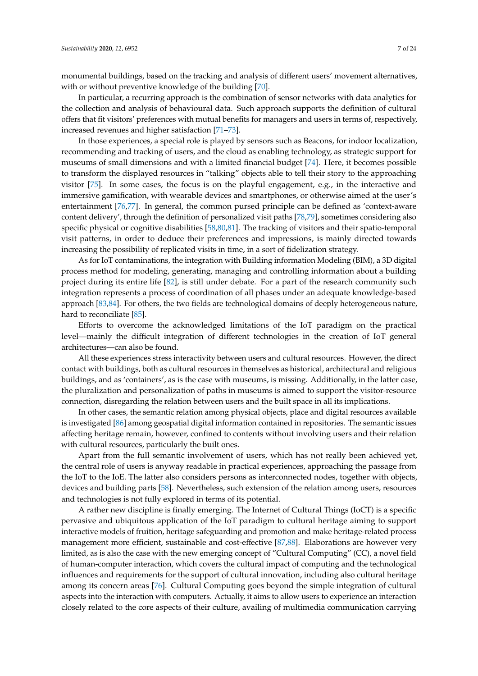monumental buildings, based on the tracking and analysis of different users' movement alternatives, with or without preventive knowledge of the building [\[70\]](#page-21-3).

In particular, a recurring approach is the combination of sensor networks with data analytics for the collection and analysis of behavioural data. Such approach supports the definition of cultural offers that fit visitors' preferences with mutual benefits for managers and users in terms of, respectively, increased revenues and higher satisfaction [\[71–](#page-21-4)[73\]](#page-21-5).

In those experiences, a special role is played by sensors such as Beacons, for indoor localization, recommending and tracking of users, and the cloud as enabling technology, as strategic support for museums of small dimensions and with a limited financial budget [\[74\]](#page-21-6). Here, it becomes possible to transform the displayed resources in "talking" objects able to tell their story to the approaching visitor [\[75\]](#page-21-7). In some cases, the focus is on the playful engagement, e.g., in the interactive and immersive gamification, with wearable devices and smartphones, or otherwise aimed at the user's entertainment [\[76](#page-21-8)[,77\]](#page-21-9). In general, the common pursed principle can be defined as 'context-aware content delivery', through the definition of personalized visit paths [\[78,](#page-21-10)[79\]](#page-21-11), sometimes considering also specific physical or cognitive disabilities [\[58,](#page-20-10)[80,](#page-21-12)[81\]](#page-21-13). The tracking of visitors and their spatio-temporal visit patterns, in order to deduce their preferences and impressions, is mainly directed towards increasing the possibility of replicated visits in time, in a sort of fidelization strategy.

As for IoT contaminations, the integration with Building information Modeling (BIM), a 3D digital process method for modeling, generating, managing and controlling information about a building project during its entire life [\[82\]](#page-21-14), is still under debate. For a part of the research community such integration represents a process of coordination of all phases under an adequate knowledge-based approach [\[83](#page-21-15)[,84\]](#page-21-16). For others, the two fields are technological domains of deeply heterogeneous nature, hard to reconciliate [\[85\]](#page-22-0).

Efforts to overcome the acknowledged limitations of the IoT paradigm on the practical level—mainly the difficult integration of different technologies in the creation of IoT general architectures—can also be found.

All these experiences stress interactivity between users and cultural resources. However, the direct contact with buildings, both as cultural resources in themselves as historical, architectural and religious buildings, and as 'containers', as is the case with museums, is missing. Additionally, in the latter case, the pluralization and personalization of paths in museums is aimed to support the visitor-resource connection, disregarding the relation between users and the built space in all its implications.

In other cases, the semantic relation among physical objects, place and digital resources available is investigated [\[86\]](#page-22-1) among geospatial digital information contained in repositories. The semantic issues affecting heritage remain, however, confined to contents without involving users and their relation with cultural resources, particularly the built ones.

Apart from the full semantic involvement of users, which has not really been achieved yet, the central role of users is anyway readable in practical experiences, approaching the passage from the IoT to the IoE. The latter also considers persons as interconnected nodes, together with objects, devices and building parts [\[58\]](#page-20-10). Nevertheless, such extension of the relation among users, resources and technologies is not fully explored in terms of its potential.

A rather new discipline is finally emerging. The Internet of Cultural Things (IoCT) is a specific pervasive and ubiquitous application of the IoT paradigm to cultural heritage aiming to support interactive models of fruition, heritage safeguarding and promotion and make heritage-related process management more efficient, sustainable and cost-effective [\[87](#page-22-2)[,88\]](#page-22-3). Elaborations are however very limited, as is also the case with the new emerging concept of "Cultural Computing" (CC), a novel field of human-computer interaction, which covers the cultural impact of computing and the technological influences and requirements for the support of cultural innovation, including also cultural heritage among its concern areas [\[76\]](#page-21-8). Cultural Computing goes beyond the simple integration of cultural aspects into the interaction with computers. Actually, it aims to allow users to experience an interaction closely related to the core aspects of their culture, availing of multimedia communication carrying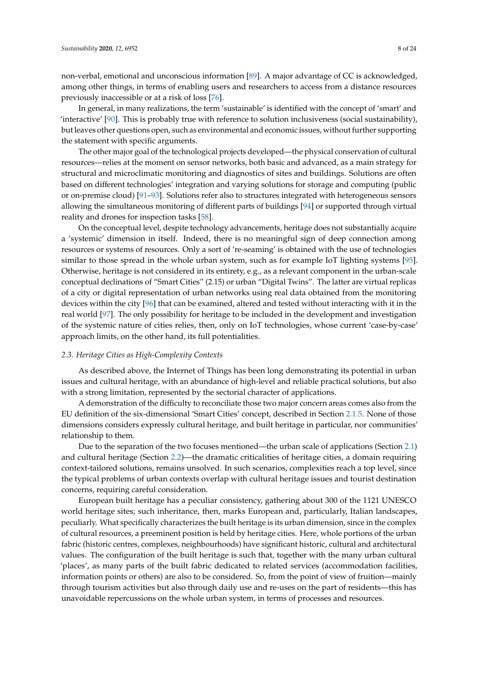non-verbal, emotional and unconscious information [\[89\]](#page-22-4). A major advantage of CC is acknowledged, among other things, in terms of enabling users and researchers to access from a distance resources previously inaccessible or at a risk of loss [\[76\]](#page-21-8).

In general, in many realizations, the term 'sustainable' is identified with the concept of 'smart' and 'interactive' [\[90\]](#page-22-5). This is probably true with reference to solution inclusiveness (social sustainability), but leaves other questions open, such as environmental and economic issues, without further supporting the statement with specific arguments.

The other major goal of the technological projects developed—the physical conservation of cultural resources—relies at the moment on sensor networks, both basic and advanced, as a main strategy for structural and microclimatic monitoring and diagnostics of sites and buildings. Solutions are often based on different technologies' integration and varying solutions for storage and computing (public or on-premise cloud) [\[91–](#page-22-6)[93\]](#page-22-7). Solutions refer also to structures integrated with heterogeneous sensors allowing the simultaneous monitoring of different parts of buildings [\[94\]](#page-22-8) or supported through virtual reality and drones for inspection tasks [\[58\]](#page-20-10).

On the conceptual level, despite technology advancements, heritage does not substantially acquire a 'systemic' dimension in itself. Indeed, there is no meaningful sign of deep connection among resources or systems of resources. Only a sort of 're-seaming' is obtained with the use of technologies similar to those spread in the whole urban system, such as for example IoT lighting systems [\[95\]](#page-22-9). Otherwise, heritage is not considered in its entirety, e.g., as a relevant component in the urban-scale conceptual declinations of "Smart Cities" (2.15) or urban "Digital Twins". The latter are virtual replicas of a city or digital representation of urban networks using real data obtained from the monitoring devices within the city [\[96\]](#page-22-10) that can be examined, altered and tested without interacting with it in the real world [\[97\]](#page-22-11). The only possibility for heritage to be included in the development and investigation of the systemic nature of cities relies, then, only on IoT technologies, whose current 'case-by-case' approach limits, on the other hand, its full potentialities.

#### *2.3. Heritage Cities as High-Complexity Contexts*

As described above, the Internet of Things has been long demonstrating its potential in urban issues and cultural heritage, with an abundance of high-level and reliable practical solutions, but also with a strong limitation, represented by the sectorial character of applications.

A demonstration of the difficulty to reconciliate those two major concern areas comes also from the EU definition of the six-dimensional 'Smart Cities' concept, described in Section [2.1.5.](#page-4-0) None of those dimensions considers expressly cultural heritage, and built heritage in particular, nor communities' relationship to them.

Due to the separation of the two focuses mentioned—the urban scale of applications (Section [2.1\)](#page-2-0) and cultural heritage (Section [2.2\)](#page-5-0)—the dramatic criticalities of heritage cities, a domain requiring context-tailored solutions, remains unsolved. In such scenarios, complexities reach a top level, since the typical problems of urban contexts overlap with cultural heritage issues and tourist destination concerns, requiring careful consideration.

European built heritage has a peculiar consistency, gathering about 300 of the 1121 UNESCO world heritage sites; such inheritance, then, marks European and, particularly, Italian landscapes, peculiarly. What specifically characterizes the built heritage is its urban dimension, since in the complex of cultural resources, a preeminent position is held by heritage cities. Here, whole portions of the urban fabric (historic centres, complexes, neighbourhoods) have significant historic, cultural and architectural values. The configuration of the built heritage is such that, together with the many urban cultural 'places', as many parts of the built fabric dedicated to related services (accommodation facilities, information points or others) are also to be considered. So, from the point of view of fruition—mainly through tourism activities but also through daily use and re-uses on the part of residents—this has unavoidable repercussions on the whole urban system, in terms of processes and resources.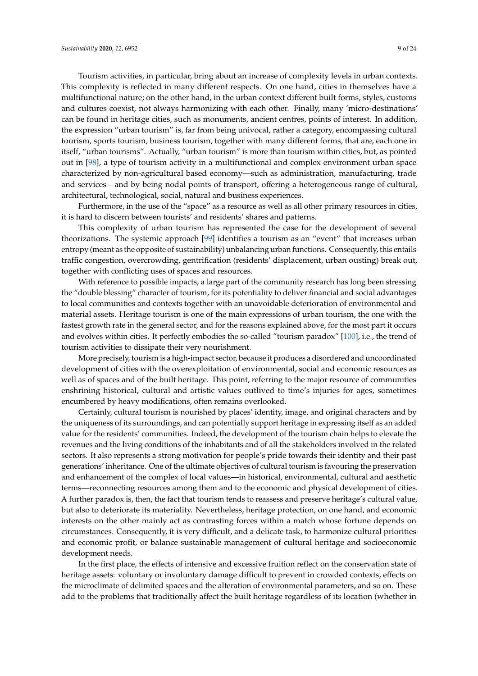Tourism activities, in particular, bring about an increase of complexity levels in urban contexts. This complexity is reflected in many different respects. On one hand, cities in themselves have a multifunctional nature; on the other hand, in the urban context different built forms, styles, customs and cultures coexist, not always harmonizing with each other. Finally, many 'micro-destinations' can be found in heritage cities, such as monuments, ancient centres, points of interest. In addition, the expression "urban tourism" is, far from being univocal, rather a category, encompassing cultural tourism, sports tourism, business tourism, together with many different forms, that are, each one in itself, "urban tourisms". Actually, "urban tourism" is more than tourism within cities, but, as pointed out in [\[98\]](#page-22-12), a type of tourism activity in a multifunctional and complex environment urban space characterized by non-agricultural based economy—such as administration, manufacturing, trade and services—and by being nodal points of transport, offering a heterogeneous range of cultural, architectural, technological, social, natural and business experiences.

Furthermore, in the use of the "space" as a resource as well as all other primary resources in cities, it is hard to discern between tourists' and residents' shares and patterns.

This complexity of urban tourism has represented the case for the development of several theorizations. The systemic approach [\[99\]](#page-22-13) identifies a tourism as an "event" that increases urban entropy (meant as the opposite of sustainability) unbalancing urban functions. Consequently, this entails traffic congestion, overcrowding, gentrification (residents' displacement, urban ousting) break out, together with conflicting uses of spaces and resources.

With reference to possible impacts, a large part of the community research has long been stressing the "double blessing" character of tourism, for its potentiality to deliver financial and social advantages to local communities and contexts together with an unavoidable deterioration of environmental and material assets. Heritage tourism is one of the main expressions of urban tourism, the one with the fastest growth rate in the general sector, and for the reasons explained above, for the most part it occurs and evolves within cities. It perfectly embodies the so-called "tourism paradox" [\[100\]](#page-22-14), i.e., the trend of tourism activities to dissipate their very nourishment.

More precisely, tourism is a high-impact sector, because it produces a disordered and uncoordinated development of cities with the overexploitation of environmental, social and economic resources as well as of spaces and of the built heritage. This point, referring to the major resource of communities enshrining historical, cultural and artistic values outlived to time's injuries for ages, sometimes encumbered by heavy modifications, often remains overlooked.

Certainly, cultural tourism is nourished by places' identity, image, and original characters and by the uniqueness of its surroundings, and can potentially support heritage in expressing itself as an added value for the residents' communities. Indeed, the development of the tourism chain helps to elevate the revenues and the living conditions of the inhabitants and of all the stakeholders involved in the related sectors. It also represents a strong motivation for people's pride towards their identity and their past generations' inheritance. One of the ultimate objectives of cultural tourism is favouring the preservation and enhancement of the complex of local values—in historical, environmental, cultural and aesthetic terms—reconnecting resources among them and to the economic and physical development of cities. A further paradox is, then, the fact that tourism tends to reassess and preserve heritage's cultural value, but also to deteriorate its materiality. Nevertheless, heritage protection, on one hand, and economic interests on the other mainly act as contrasting forces within a match whose fortune depends on circumstances. Consequently, it is very difficult, and a delicate task, to harmonize cultural priorities and economic profit, or balance sustainable management of cultural heritage and socioeconomic development needs.

In the first place, the effects of intensive and excessive fruition reflect on the conservation state of heritage assets: voluntary or involuntary damage difficult to prevent in crowded contexts, effects on the microclimate of delimited spaces and the alteration of environmental parameters, and so on. These add to the problems that traditionally affect the built heritage regardless of its location (whether in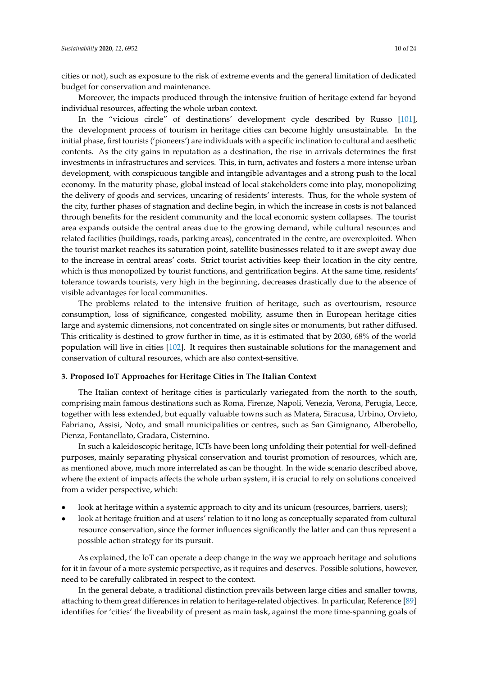cities or not), such as exposure to the risk of extreme events and the general limitation of dedicated budget for conservation and maintenance.

Moreover, the impacts produced through the intensive fruition of heritage extend far beyond individual resources, affecting the whole urban context.

In the "vicious circle" of destinations' development cycle described by Russo [\[101\]](#page-22-15), the development process of tourism in heritage cities can become highly unsustainable. In the initial phase, first tourists ('pioneers') are individuals with a specific inclination to cultural and aesthetic contents. As the city gains in reputation as a destination, the rise in arrivals determines the first investments in infrastructures and services. This, in turn, activates and fosters a more intense urban development, with conspicuous tangible and intangible advantages and a strong push to the local economy. In the maturity phase, global instead of local stakeholders come into play, monopolizing the delivery of goods and services, uncaring of residents' interests. Thus, for the whole system of the city, further phases of stagnation and decline begin, in which the increase in costs is not balanced through benefits for the resident community and the local economic system collapses. The tourist area expands outside the central areas due to the growing demand, while cultural resources and related facilities (buildings, roads, parking areas), concentrated in the centre, are overexploited. When the tourist market reaches its saturation point, satellite businesses related to it are swept away due to the increase in central areas' costs. Strict tourist activities keep their location in the city centre, which is thus monopolized by tourist functions, and gentrification begins. At the same time, residents' tolerance towards tourists, very high in the beginning, decreases drastically due to the absence of visible advantages for local communities.

The problems related to the intensive fruition of heritage, such as overtourism, resource consumption, loss of significance, congested mobility, assume then in European heritage cities large and systemic dimensions, not concentrated on single sites or monuments, but rather diffused. This criticality is destined to grow further in time, as it is estimated that by 2030, 68% of the world population will live in cities [\[102\]](#page-22-16). It requires then sustainable solutions for the management and conservation of cultural resources, which are also context-sensitive.

#### <span id="page-9-0"></span>**3. Proposed IoT Approaches for Heritage Cities in The Italian Context**

The Italian context of heritage cities is particularly variegated from the north to the south, comprising main famous destinations such as Roma, Firenze, Napoli, Venezia, Verona, Perugia, Lecce, together with less extended, but equally valuable towns such as Matera, Siracusa, Urbino, Orvieto, Fabriano, Assisi, Noto, and small municipalities or centres, such as San Gimignano, Alberobello, Pienza, Fontanellato, Gradara, Cisternino.

In such a kaleidoscopic heritage, ICTs have been long unfolding their potential for well-defined purposes, mainly separating physical conservation and tourist promotion of resources, which are, as mentioned above, much more interrelated as can be thought. In the wide scenario described above, where the extent of impacts affects the whole urban system, it is crucial to rely on solutions conceived from a wider perspective, which:

- look at heritage within a systemic approach to city and its unicum (resources, barriers, users);
- look at heritage fruition and at users' relation to it no long as conceptually separated from cultural resource conservation, since the former influences significantly the latter and can thus represent a possible action strategy for its pursuit.

As explained, the IoT can operate a deep change in the way we approach heritage and solutions for it in favour of a more systemic perspective, as it requires and deserves. Possible solutions, however, need to be carefully calibrated in respect to the context.

In the general debate, a traditional distinction prevails between large cities and smaller towns, attaching to them great differences in relation to heritage-related objectives. In particular, Reference [\[89\]](#page-22-4) identifies for 'cities' the liveability of present as main task, against the more time-spanning goals of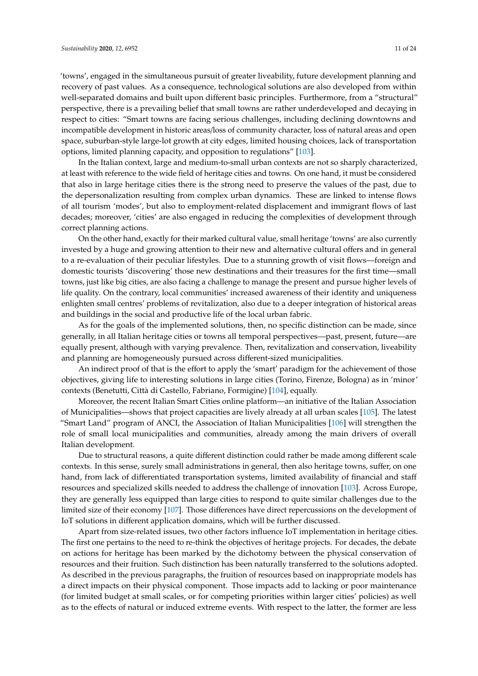'towns', engaged in the simultaneous pursuit of greater liveability, future development planning and recovery of past values. As a consequence, technological solutions are also developed from within well-separated domains and built upon different basic principles. Furthermore, from a "structural" perspective, there is a prevailing belief that small towns are rather underdeveloped and decaying in respect to cities: "Smart towns are facing serious challenges, including declining downtowns and incompatible development in historic areas/loss of community character, loss of natural areas and open space, suburban-style large-lot growth at city edges, limited housing choices, lack of transportation options, limited planning capacity, and opposition to regulations" [\[103\]](#page-22-17).

In the Italian context, large and medium-to-small urban contexts are not so sharply characterized, at least with reference to the wide field of heritage cities and towns. On one hand, it must be considered that also in large heritage cities there is the strong need to preserve the values of the past, due to the depersonalization resulting from complex urban dynamics. These are linked to intense flows of all tourism 'modes', but also to employment-related displacement and immigrant flows of last decades; moreover, 'cities' are also engaged in reducing the complexities of development through correct planning actions.

On the other hand, exactly for their marked cultural value, small heritage 'towns' are also currently invested by a huge and growing attention to their new and alternative cultural offers and in general to a re-evaluation of their peculiar lifestyles. Due to a stunning growth of visit flows—foreign and domestic tourists 'discovering' those new destinations and their treasures for the first time—small towns, just like big cities, are also facing a challenge to manage the present and pursue higher levels of life quality. On the contrary, local communities' increased awareness of their identity and uniqueness enlighten small centres' problems of revitalization, also due to a deeper integration of historical areas and buildings in the social and productive life of the local urban fabric.

As for the goals of the implemented solutions, then, no specific distinction can be made, since generally, in all Italian heritage cities or towns all temporal perspectives—past, present, future—are equally present, although with varying prevalence. Then, revitalization and conservation, liveability and planning are homogeneously pursued across different-sized municipalities.

An indirect proof of that is the effort to apply the 'smart' paradigm for the achievement of those objectives, giving life to interesting solutions in large cities (Torino, Firenze, Bologna) as in 'minor' contexts (Benetutti, Città di Castello, Fabriano, Formigine) [\[104\]](#page-22-18), equally.

Moreover, the recent Italian Smart Cities online platform—an initiative of the Italian Association of Municipalities—shows that project capacities are lively already at all urban scales [\[105\]](#page-23-0). The latest "Smart Land" program of ANCI, the Association of Italian Municipalities [\[106\]](#page-23-1) will strengthen the role of small local municipalities and communities, already among the main drivers of overall Italian development.

Due to structural reasons, a quite different distinction could rather be made among different scale contexts. In this sense, surely small administrations in general, then also heritage towns, suffer, on one hand, from lack of differentiated transportation systems, limited availability of financial and staff resources and specialized skills needed to address the challenge of innovation [\[103\]](#page-22-17). Across Europe, they are generally less equipped than large cities to respond to quite similar challenges due to the limited size of their economy [\[107\]](#page-23-2). Those differences have direct repercussions on the development of IoT solutions in different application domains, which will be further discussed.

Apart from size-related issues, two other factors influence IoT implementation in heritage cities. The first one pertains to the need to re-think the objectives of heritage projects. For decades, the debate on actions for heritage has been marked by the dichotomy between the physical conservation of resources and their fruition. Such distinction has been naturally transferred to the solutions adopted. As described in the previous paragraphs, the fruition of resources based on inappropriate models has a direct impacts on their physical component. Those impacts add to lacking or poor maintenance (for limited budget at small scales, or for competing priorities within larger cities' policies) as well as to the effects of natural or induced extreme events. With respect to the latter, the former are less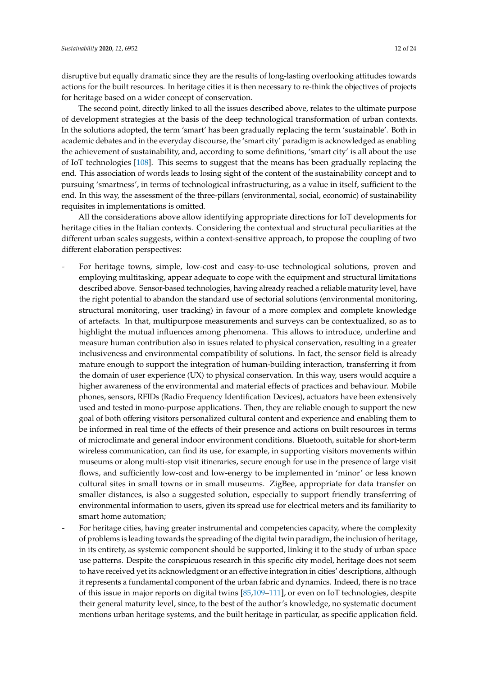disruptive but equally dramatic since they are the results of long-lasting overlooking attitudes towards actions for the built resources. In heritage cities it is then necessary to re-think the objectives of projects for heritage based on a wider concept of conservation.

The second point, directly linked to all the issues described above, relates to the ultimate purpose of development strategies at the basis of the deep technological transformation of urban contexts. In the solutions adopted, the term 'smart' has been gradually replacing the term 'sustainable'. Both in academic debates and in the everyday discourse, the 'smart city' paradigm is acknowledged as enabling the achievement of sustainability, and, according to some definitions, 'smart city' is all about the use of IoT technologies [\[108\]](#page-23-3). This seems to suggest that the means has been gradually replacing the end. This association of words leads to losing sight of the content of the sustainability concept and to pursuing 'smartness', in terms of technological infrastructuring, as a value in itself, sufficient to the end. In this way, the assessment of the three-pillars (environmental, social, economic) of sustainability requisites in implementations is omitted.

All the considerations above allow identifying appropriate directions for IoT developments for heritage cities in the Italian contexts. Considering the contextual and structural peculiarities at the different urban scales suggests, within a context-sensitive approach, to propose the coupling of two different elaboration perspectives:

- For heritage towns, simple, low-cost and easy-to-use technological solutions, proven and employing multitasking, appear adequate to cope with the equipment and structural limitations described above. Sensor-based technologies, having already reached a reliable maturity level, have the right potential to abandon the standard use of sectorial solutions (environmental monitoring, structural monitoring, user tracking) in favour of a more complex and complete knowledge of artefacts. In that, multipurpose measurements and surveys can be contextualized, so as to highlight the mutual influences among phenomena. This allows to introduce, underline and measure human contribution also in issues related to physical conservation, resulting in a greater inclusiveness and environmental compatibility of solutions. In fact, the sensor field is already mature enough to support the integration of human-building interaction, transferring it from the domain of user experience (UX) to physical conservation. In this way, users would acquire a higher awareness of the environmental and material effects of practices and behaviour. Mobile phones, sensors, RFIDs (Radio Frequency Identification Devices), actuators have been extensively used and tested in mono-purpose applications. Then, they are reliable enough to support the new goal of both offering visitors personalized cultural content and experience and enabling them to be informed in real time of the effects of their presence and actions on built resources in terms of microclimate and general indoor environment conditions. Bluetooth, suitable for short-term wireless communication, can find its use, for example, in supporting visitors movements within museums or along multi-stop visit itineraries, secure enough for use in the presence of large visit flows, and sufficiently low-cost and low-energy to be implemented in 'minor' or less known cultural sites in small towns or in small museums. ZigBee, appropriate for data transfer on smaller distances, is also a suggested solution, especially to support friendly transferring of environmental information to users, given its spread use for electrical meters and its familiarity to smart home automation;
- For heritage cities, having greater instrumental and competencies capacity, where the complexity of problems is leading towards the spreading of the digital twin paradigm, the inclusion of heritage, in its entirety, as systemic component should be supported, linking it to the study of urban space use patterns. Despite the conspicuous research in this specific city model, heritage does not seem to have received yet its acknowledgment or an effective integration in cities' descriptions, although it represents a fundamental component of the urban fabric and dynamics. Indeed, there is no trace of this issue in major reports on digital twins [\[85](#page-22-0)[,109](#page-23-4)[–111\]](#page-23-5), or even on IoT technologies, despite their general maturity level, since, to the best of the author's knowledge, no systematic document mentions urban heritage systems, and the built heritage in particular, as specific application field.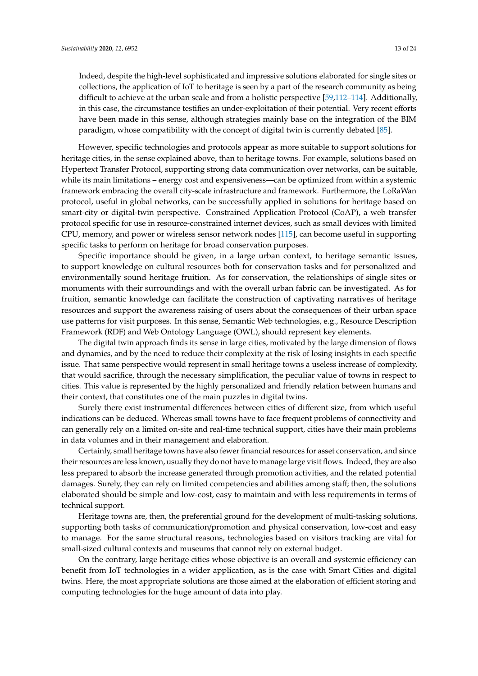Indeed, despite the high-level sophisticated and impressive solutions elaborated for single sites or collections, the application of IoT to heritage is seen by a part of the research community as being difficult to achieve at the urban scale and from a holistic perspective [\[59,](#page-20-11)[112](#page-23-6)[–114\]](#page-23-7). Additionally, in this case, the circumstance testifies an under-exploitation of their potential. Very recent efforts have been made in this sense, although strategies mainly base on the integration of the BIM paradigm, whose compatibility with the concept of digital twin is currently debated [\[85\]](#page-22-0).

However, specific technologies and protocols appear as more suitable to support solutions for heritage cities, in the sense explained above, than to heritage towns. For example, solutions based on Hypertext Transfer Protocol, supporting strong data communication over networks, can be suitable, while its main limitations – energy cost and expensiveness—can be optimized from within a systemic framework embracing the overall city-scale infrastructure and framework. Furthermore, the LoRaWan protocol, useful in global networks, can be successfully applied in solutions for heritage based on smart-city or digital-twin perspective. Constrained Application Protocol (CoAP), a web transfer protocol specific for use in resource-constrained internet devices, such as small devices with limited CPU, memory, and power or wireless sensor network nodes [\[115\]](#page-23-8), can become useful in supporting specific tasks to perform on heritage for broad conservation purposes.

Specific importance should be given, in a large urban context, to heritage semantic issues, to support knowledge on cultural resources both for conservation tasks and for personalized and environmentally sound heritage fruition. As for conservation, the relationships of single sites or monuments with their surroundings and with the overall urban fabric can be investigated. As for fruition, semantic knowledge can facilitate the construction of captivating narratives of heritage resources and support the awareness raising of users about the consequences of their urban space use patterns for visit purposes. In this sense, Semantic Web technologies, e.g., Resource Description Framework (RDF) and Web Ontology Language (OWL), should represent key elements.

The digital twin approach finds its sense in large cities, motivated by the large dimension of flows and dynamics, and by the need to reduce their complexity at the risk of losing insights in each specific issue. That same perspective would represent in small heritage towns a useless increase of complexity, that would sacrifice, through the necessary simplification, the peculiar value of towns in respect to cities. This value is represented by the highly personalized and friendly relation between humans and their context, that constitutes one of the main puzzles in digital twins.

Surely there exist instrumental differences between cities of different size, from which useful indications can be deduced. Whereas small towns have to face frequent problems of connectivity and can generally rely on a limited on-site and real-time technical support, cities have their main problems in data volumes and in their management and elaboration.

Certainly, small heritage towns have also fewer financial resources for asset conservation, and since their resources are less known, usually they do not have to manage large visit flows. Indeed, they are also less prepared to absorb the increase generated through promotion activities, and the related potential damages. Surely, they can rely on limited competencies and abilities among staff; then, the solutions elaborated should be simple and low-cost, easy to maintain and with less requirements in terms of technical support.

Heritage towns are, then, the preferential ground for the development of multi-tasking solutions, supporting both tasks of communication/promotion and physical conservation, low-cost and easy to manage. For the same structural reasons, technologies based on visitors tracking are vital for small-sized cultural contexts and museums that cannot rely on external budget.

On the contrary, large heritage cities whose objective is an overall and systemic efficiency can benefit from IoT technologies in a wider application, as is the case with Smart Cities and digital twins. Here, the most appropriate solutions are those aimed at the elaboration of efficient storing and computing technologies for the huge amount of data into play.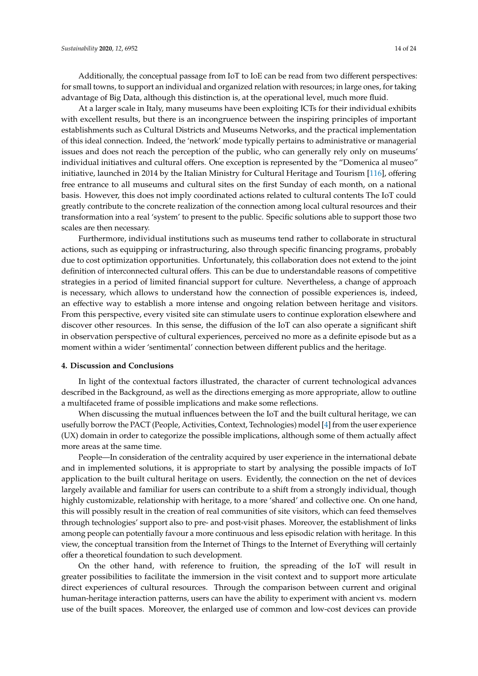Additionally, the conceptual passage from IoT to IoE can be read from two different perspectives: for small towns, to support an individual and organized relation with resources; in large ones, for taking advantage of Big Data, although this distinction is, at the operational level, much more fluid.

At a larger scale in Italy, many museums have been exploiting ICTs for their individual exhibits with excellent results, but there is an incongruence between the inspiring principles of important establishments such as Cultural Districts and Museums Networks, and the practical implementation of this ideal connection. Indeed, the 'network' mode typically pertains to administrative or managerial issues and does not reach the perception of the public, who can generally rely only on museums' individual initiatives and cultural offers. One exception is represented by the "Domenica al museo" initiative, launched in 2014 by the Italian Ministry for Cultural Heritage and Tourism [\[116\]](#page-23-9), offering free entrance to all museums and cultural sites on the first Sunday of each month, on a national basis. However, this does not imply coordinated actions related to cultural contents The IoT could greatly contribute to the concrete realization of the connection among local cultural resources and their transformation into a real 'system' to present to the public. Specific solutions able to support those two scales are then necessary.

Furthermore, individual institutions such as museums tend rather to collaborate in structural actions, such as equipping or infrastructuring, also through specific financing programs, probably due to cost optimization opportunities. Unfortunately, this collaboration does not extend to the joint definition of interconnected cultural offers. This can be due to understandable reasons of competitive strategies in a period of limited financial support for culture. Nevertheless, a change of approach is necessary, which allows to understand how the connection of possible experiences is, indeed, an effective way to establish a more intense and ongoing relation between heritage and visitors. From this perspective, every visited site can stimulate users to continue exploration elsewhere and discover other resources. In this sense, the diffusion of the IoT can also operate a significant shift in observation perspective of cultural experiences, perceived no more as a definite episode but as a moment within a wider 'sentimental' connection between different publics and the heritage.

## **4. Discussion and Conclusions**

In light of the contextual factors illustrated, the character of current technological advances described in the Background, as well as the directions emerging as more appropriate, allow to outline a multifaceted frame of possible implications and make some reflections.

When discussing the mutual influences between the IoT and the built cultural heritage, we can usefully borrow the PACT (People, Activities, Context, Technologies) model [\[4\]](#page-17-3) from the user experience (UX) domain in order to categorize the possible implications, although some of them actually affect more areas at the same time.

People—In consideration of the centrality acquired by user experience in the international debate and in implemented solutions, it is appropriate to start by analysing the possible impacts of IoT application to the built cultural heritage on users. Evidently, the connection on the net of devices largely available and familiar for users can contribute to a shift from a strongly individual, though highly customizable, relationship with heritage, to a more 'shared' and collective one. On one hand, this will possibly result in the creation of real communities of site visitors, which can feed themselves through technologies' support also to pre- and post-visit phases. Moreover, the establishment of links among people can potentially favour a more continuous and less episodic relation with heritage. In this view, the conceptual transition from the Internet of Things to the Internet of Everything will certainly offer a theoretical foundation to such development.

On the other hand, with reference to fruition, the spreading of the IoT will result in greater possibilities to facilitate the immersion in the visit context and to support more articulate direct experiences of cultural resources. Through the comparison between current and original human-heritage interaction patterns, users can have the ability to experiment with ancient vs. modern use of the built spaces. Moreover, the enlarged use of common and low-cost devices can provide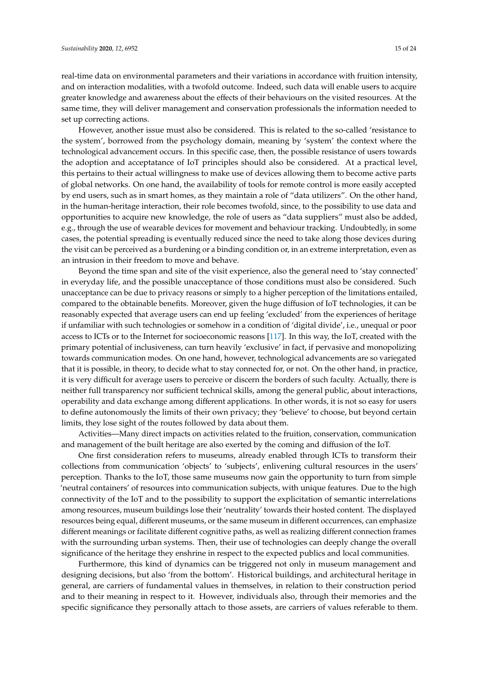real-time data on environmental parameters and their variations in accordance with fruition intensity, and on interaction modalities, with a twofold outcome. Indeed, such data will enable users to acquire greater knowledge and awareness about the effects of their behaviours on the visited resources. At the same time, they will deliver management and conservation professionals the information needed to set up correcting actions.

However, another issue must also be considered. This is related to the so-called 'resistance to the system', borrowed from the psychology domain, meaning by 'system' the context where the technological advancement occurs. In this specific case, then, the possible resistance of users towards the adoption and acceptatance of IoT principles should also be considered. At a practical level, this pertains to their actual willingness to make use of devices allowing them to become active parts of global networks. On one hand, the availability of tools for remote control is more easily accepted by end users, such as in smart homes, as they maintain a role of "data utilizers". On the other hand, in the human-heritage interaction, their role becomes twofold, since, to the possibility to use data and opportunities to acquire new knowledge, the role of users as "data suppliers" must also be added, e.g., through the use of wearable devices for movement and behaviour tracking. Undoubtedly, in some cases, the potential spreading is eventually reduced since the need to take along those devices during the visit can be perceived as a burdening or a binding condition or, in an extreme interpretation, even as an intrusion in their freedom to move and behave.

Beyond the time span and site of the visit experience, also the general need to 'stay connected' in everyday life, and the possible unacceptance of those conditions must also be considered. Such unacceptance can be due to privacy reasons or simply to a higher perception of the limitations entailed, compared to the obtainable benefits. Moreover, given the huge diffusion of IoT technologies, it can be reasonably expected that average users can end up feeling 'excluded' from the experiences of heritage if unfamiliar with such technologies or somehow in a condition of 'digital divide', i.e., unequal or poor access to ICTs or to the Internet for socioeconomic reasons [\[117\]](#page-23-10). In this way, the IoT, created with the primary potential of inclusiveness, can turn heavily 'exclusive' in fact, if pervasive and monopolizing towards communication modes. On one hand, however, technological advancements are so variegated that it is possible, in theory, to decide what to stay connected for, or not. On the other hand, in practice, it is very difficult for average users to perceive or discern the borders of such faculty. Actually, there is neither full transparency nor sufficient technical skills, among the general public, about interactions, operability and data exchange among different applications. In other words, it is not so easy for users to define autonomously the limits of their own privacy; they 'believe' to choose, but beyond certain limits, they lose sight of the routes followed by data about them.

Activities—Many direct impacts on activities related to the fruition, conservation, communication and management of the built heritage are also exerted by the coming and diffusion of the IoT.

One first consideration refers to museums, already enabled through ICTs to transform their collections from communication 'objects' to 'subjects', enlivening cultural resources in the users' perception. Thanks to the IoT, those same museums now gain the opportunity to turn from simple 'neutral containers' of resources into communication subjects, with unique features. Due to the high connectivity of the IoT and to the possibility to support the explicitation of semantic interrelations among resources, museum buildings lose their 'neutrality' towards their hosted content. The displayed resources being equal, different museums, or the same museum in different occurrences, can emphasize different meanings or facilitate different cognitive paths, as well as realizing different connection frames with the surrounding urban systems. Then, their use of technologies can deeply change the overall significance of the heritage they enshrine in respect to the expected publics and local communities.

Furthermore, this kind of dynamics can be triggered not only in museum management and designing decisions, but also 'from the bottom'. Historical buildings, and architectural heritage in general, are carriers of fundamental values in themselves, in relation to their construction period and to their meaning in respect to it. However, individuals also, through their memories and the specific significance they personally attach to those assets, are carriers of values referable to them.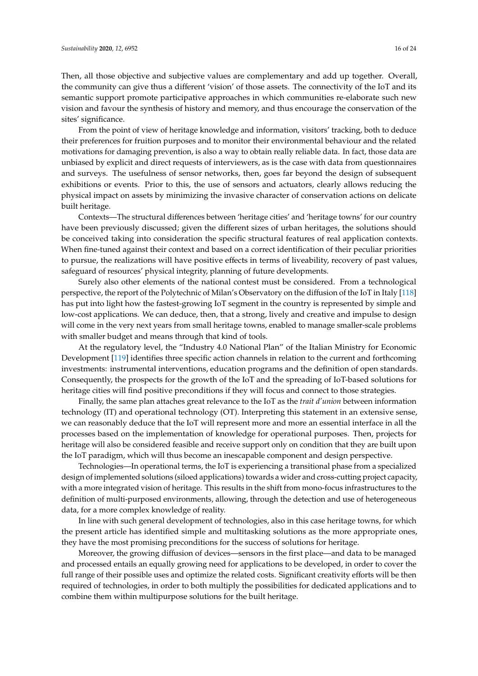Then, all those objective and subjective values are complementary and add up together. Overall, the community can give thus a different 'vision' of those assets. The connectivity of the IoT and its semantic support promote participative approaches in which communities re-elaborate such new vision and favour the synthesis of history and memory, and thus encourage the conservation of the sites' significance.

From the point of view of heritage knowledge and information, visitors' tracking, both to deduce their preferences for fruition purposes and to monitor their environmental behaviour and the related motivations for damaging prevention, is also a way to obtain really reliable data. In fact, those data are unbiased by explicit and direct requests of interviewers, as is the case with data from questionnaires and surveys. The usefulness of sensor networks, then, goes far beyond the design of subsequent exhibitions or events. Prior to this, the use of sensors and actuators, clearly allows reducing the physical impact on assets by minimizing the invasive character of conservation actions on delicate built heritage.

Contexts—The structural differences between 'heritage cities' and 'heritage towns' for our country have been previously discussed; given the different sizes of urban heritages, the solutions should be conceived taking into consideration the specific structural features of real application contexts. When fine-tuned against their context and based on a correct identification of their peculiar priorities to pursue, the realizations will have positive effects in terms of liveability, recovery of past values, safeguard of resources' physical integrity, planning of future developments.

Surely also other elements of the national contest must be considered. From a technological perspective, the report of the Polytechnic of Milan's Observatory on the diffusion of the IoT in Italy [\[118\]](#page-23-11) has put into light how the fastest-growing IoT segment in the country is represented by simple and low-cost applications. We can deduce, then, that a strong, lively and creative and impulse to design will come in the very next years from small heritage towns, enabled to manage smaller-scale problems with smaller budget and means through that kind of tools.

At the regulatory level, the "Industry 4.0 National Plan" of the Italian Ministry for Economic Development [\[119\]](#page-23-12) identifies three specific action channels in relation to the current and forthcoming investments: instrumental interventions, education programs and the definition of open standards. Consequently, the prospects for the growth of the IoT and the spreading of IoT-based solutions for heritage cities will find positive preconditions if they will focus and connect to those strategies.

Finally, the same plan attaches great relevance to the IoT as the *trait d'union* between information technology (IT) and operational technology (OT). Interpreting this statement in an extensive sense, we can reasonably deduce that the IoT will represent more and more an essential interface in all the processes based on the implementation of knowledge for operational purposes. Then, projects for heritage will also be considered feasible and receive support only on condition that they are built upon the IoT paradigm, which will thus become an inescapable component and design perspective.

Technologies—In operational terms, the IoT is experiencing a transitional phase from a specialized design of implemented solutions (siloed applications) towards a wider and cross-cutting project capacity, with a more integrated vision of heritage. This results in the shift from mono-focus infrastructures to the definition of multi-purposed environments, allowing, through the detection and use of heterogeneous data, for a more complex knowledge of reality.

In line with such general development of technologies, also in this case heritage towns, for which the present article has identified simple and multitasking solutions as the more appropriate ones, they have the most promising preconditions for the success of solutions for heritage.

Moreover, the growing diffusion of devices—sensors in the first place—and data to be managed and processed entails an equally growing need for applications to be developed, in order to cover the full range of their possible uses and optimize the related costs. Significant creativity efforts will be then required of technologies, in order to both multiply the possibilities for dedicated applications and to combine them within multipurpose solutions for the built heritage.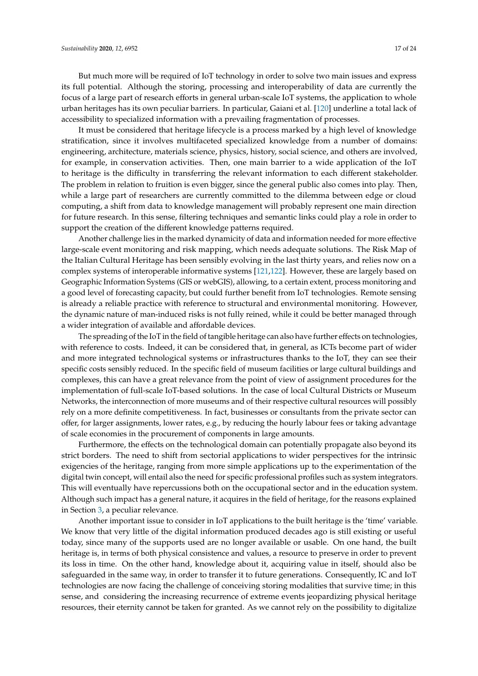But much more will be required of IoT technology in order to solve two main issues and express its full potential. Although the storing, processing and interoperability of data are currently the focus of a large part of research efforts in general urban-scale IoT systems, the application to whole urban heritages has its own peculiar barriers. In particular, Gaiani et al. [\[120\]](#page-23-13) underline a total lack of accessibility to specialized information with a prevailing fragmentation of processes.

It must be considered that heritage lifecycle is a process marked by a high level of knowledge stratification, since it involves multifaceted specialized knowledge from a number of domains: engineering, architecture, materials science, physics, history, social science, and others are involved, for example, in conservation activities. Then, one main barrier to a wide application of the IoT to heritage is the difficulty in transferring the relevant information to each different stakeholder. The problem in relation to fruition is even bigger, since the general public also comes into play. Then, while a large part of researchers are currently committed to the dilemma between edge or cloud computing, a shift from data to knowledge management will probably represent one main direction for future research. In this sense, filtering techniques and semantic links could play a role in order to support the creation of the different knowledge patterns required.

Another challenge lies in the marked dynamicity of data and information needed for more effective large-scale event monitoring and risk mapping, which needs adequate solutions. The Risk Map of the Italian Cultural Heritage has been sensibly evolving in the last thirty years, and relies now on a complex systems of interoperable informative systems [\[121](#page-23-14)[,122\]](#page-23-15). However, these are largely based on Geographic Information Systems (GIS or webGIS), allowing, to a certain extent, process monitoring and a good level of forecasting capacity, but could further benefit from IoT technologies. Remote sensing is already a reliable practice with reference to structural and environmental monitoring. However, the dynamic nature of man-induced risks is not fully reined, while it could be better managed through a wider integration of available and affordable devices.

The spreading of the IoT in the field of tangible heritage can also have further effects on technologies, with reference to costs. Indeed, it can be considered that, in general, as ICTs become part of wider and more integrated technological systems or infrastructures thanks to the IoT, they can see their specific costs sensibly reduced. In the specific field of museum facilities or large cultural buildings and complexes, this can have a great relevance from the point of view of assignment procedures for the implementation of full-scale IoT-based solutions. In the case of local Cultural Districts or Museum Networks, the interconnection of more museums and of their respective cultural resources will possibly rely on a more definite competitiveness. In fact, businesses or consultants from the private sector can offer, for larger assignments, lower rates, e.g., by reducing the hourly labour fees or taking advantage of scale economies in the procurement of components in large amounts.

Furthermore, the effects on the technological domain can potentially propagate also beyond its strict borders. The need to shift from sectorial applications to wider perspectives for the intrinsic exigencies of the heritage, ranging from more simple applications up to the experimentation of the digital twin concept, will entail also the need for specific professional profiles such as system integrators. This will eventually have repercussions both on the occupational sector and in the education system. Although such impact has a general nature, it acquires in the field of heritage, for the reasons explained in Section [3,](#page-9-0) a peculiar relevance.

Another important issue to consider in IoT applications to the built heritage is the 'time' variable. We know that very little of the digital information produced decades ago is still existing or useful today, since many of the supports used are no longer available or usable. On one hand, the built heritage is, in terms of both physical consistence and values, a resource to preserve in order to prevent its loss in time. On the other hand, knowledge about it, acquiring value in itself, should also be safeguarded in the same way, in order to transfer it to future generations. Consequently, IC and IoT technologies are now facing the challenge of conceiving storing modalities that survive time; in this sense, and considering the increasing recurrence of extreme events jeopardizing physical heritage resources, their eternity cannot be taken for granted. As we cannot rely on the possibility to digitalize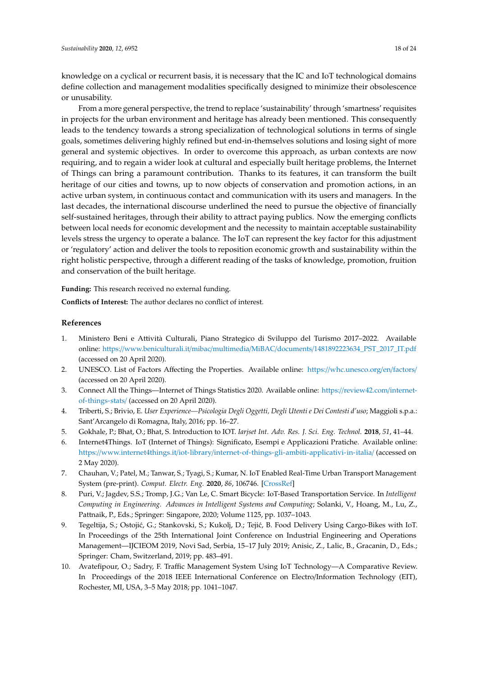knowledge on a cyclical or recurrent basis, it is necessary that the IC and IoT technological domains define collection and management modalities specifically designed to minimize their obsolescence or unusability.

From a more general perspective, the trend to replace 'sustainability' through 'smartness' requisites in projects for the urban environment and heritage has already been mentioned. This consequently leads to the tendency towards a strong specialization of technological solutions in terms of single goals, sometimes delivering highly refined but end-in-themselves solutions and losing sight of more general and systemic objectives. In order to overcome this approach, as urban contexts are now requiring, and to regain a wider look at cultural and especially built heritage problems, the Internet of Things can bring a paramount contribution. Thanks to its features, it can transform the built heritage of our cities and towns, up to now objects of conservation and promotion actions, in an active urban system, in continuous contact and communication with its users and managers. In the last decades, the international discourse underlined the need to pursue the objective of financially self-sustained heritages, through their ability to attract paying publics. Now the emerging conflicts between local needs for economic development and the necessity to maintain acceptable sustainability levels stress the urgency to operate a balance. The IoT can represent the key factor for this adjustment or 'regulatory' action and deliver the tools to reposition economic growth and sustainability within the right holistic perspective, through a different reading of the tasks of knowledge, promotion, fruition and conservation of the built heritage.

**Funding:** This research received no external funding.

**Conflicts of Interest:** The author declares no conflict of interest.

#### **References**

- <span id="page-17-0"></span>1. Ministero Beni e Attività Culturali, Piano Strategico di Sviluppo del Turismo 2017–2022. Available online: https://www.beniculturali.it/mibac/multimedia/MiBAC/documents/[1481892223634\\_PST\\_2017\\_IT.pdf](https://www.beniculturali.it/mibac/multimedia/MiBAC/documents/1481892223634_PST_2017_IT.pdf) (accessed on 20 April 2020).
- <span id="page-17-1"></span>2. UNESCO. List of Factors Affecting the Properties. Available online: https://[whc.unesco.org](https://whc.unesco.org/en/factors/)/en/factors/ (accessed on 20 April 2020).
- <span id="page-17-2"></span>3. Connect All the Things—Internet of Things Statistics 2020. Available online: https://[review42.com](https://review42.com/internet-of-things-stats/)/internet[of-things-stats](https://review42.com/internet-of-things-stats/)/ (accessed on 20 April 2020).
- <span id="page-17-3"></span>4. Triberti, S.; Brivio, E. *User Experience—Psicologia Degli Oggetti, Degli Utenti e Dei Contesti d'uso*; Maggioli s.p.a.: Sant'Arcangelo di Romagna, Italy, 2016; pp. 16–27.
- <span id="page-17-4"></span>5. Gokhale, P.; Bhat, O.; Bhat, S. Introduction to IOT. *Iarjset Int. Adv. Res. J. Sci. Eng. Technol.* **2018**, *51*, 41–44.
- <span id="page-17-5"></span>6. Internet4Things. IoT (Internet of Things): Significato, Esempi e Applicazioni Pratiche. Available online: https://www.internet4things.it/iot-library/[internet-of-things-gli-ambiti-applicativi-in-italia](https://www.internet4things.it/iot-library/internet-of-things-gli-ambiti-applicativi-in-italia/)/ (accessed on 2 May 2020).
- <span id="page-17-6"></span>7. Chauhan, V.; Patel, M.; Tanwar, S.; Tyagi, S.; Kumar, N. IoT Enabled Real-Time Urban Transport Management System (pre-print). *Comput. Electr. Eng.* **2020**, *86*, 106746. [\[CrossRef\]](http://dx.doi.org/10.1016/j.compeleceng.2020.106746)
- <span id="page-17-7"></span>8. Puri, V.; Jagdev, S.S.; Tromp, J.G.; Van Le, C. Smart Bicycle: IoT-Based Transportation Service. In *Intelligent Computing in Engineering. Advances in Intelligent Systems and Computing*; Solanki, V., Hoang, M., Lu, Z., Pattnaik, P., Eds.; Springer: Singapore, 2020; Volume 1125, pp. 1037–1043.
- <span id="page-17-8"></span>9. Tegeltija, S.; Ostojić, G.; Stankovski, S.; Kukolj, D.; Tejić, B. Food Delivery Using Cargo-Bikes with IoT. In Proceedings of the 25th International Joint Conference on Industrial Engineering and Operations Management—IJCIEOM 2019, Novi Sad, Serbia, 15–17 July 2019; Anisic, Z., Lalic, B., Gracanin, D., Eds.; Springer: Cham, Switzerland, 2019; pp. 483–491.
- <span id="page-17-9"></span>10. Avatefipour, O.; Sadry, F. Traffic Management System Using IoT Technology—A Comparative Review. In Proceedings of the 2018 IEEE International Conference on Electro/Information Technology (EIT), Rochester, MI, USA, 3–5 May 2018; pp. 1041–1047.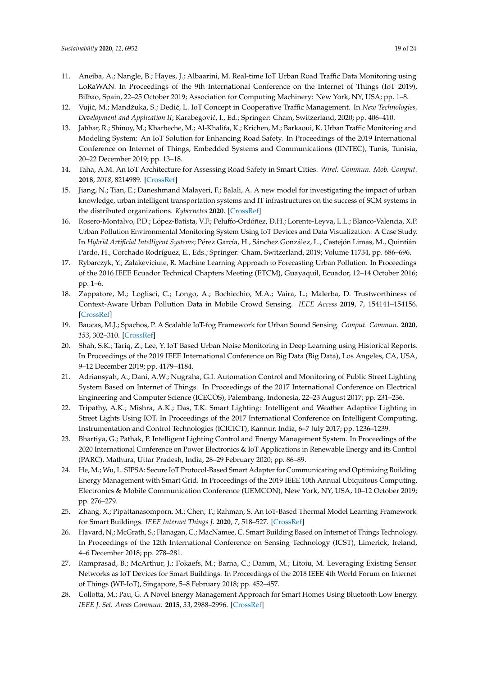- <span id="page-18-4"></span>11. Aneiba, A.; Nangle, B.; Hayes, J.; Albaarini, M. Real-time IoT Urban Road Traffic Data Monitoring using LoRaWAN. In Proceedings of the 9th International Conference on the Internet of Things (IoT 2019), Bilbao, Spain, 22–25 October 2019; Association for Computing Machinery: New York, NY, USA; pp. 1–8.
- <span id="page-18-0"></span>12. Vujić, M.; Mandžuka, S.; Dedić, L. IoT Concept in Cooperative Traffic Management. In *New Technologies*, Development and Application II; Karabegović, I., Ed.; Springer: Cham, Switzerland, 2020; pp. 406-410.
- <span id="page-18-1"></span>13. Jabbar, R.; Shinoy, M.; Kharbeche, M.; Al-Khalifa, K.; Krichen, M.; Barkaoui, K. Urban Traffic Monitoring and Modeling System: An IoT Solution for Enhancing Road Safety. In Proceedings of the 2019 International Conference on Internet of Things, Embedded Systems and Communications (IINTEC), Tunis, Tunisia, 20–22 December 2019; pp. 13–18.
- <span id="page-18-2"></span>14. Taha, A.M. An IoT Architecture for Assessing Road Safety in Smart Cities. *Wirel. Commun. Mob. Comput.* **2018**, *2018*, 8214989. [\[CrossRef\]](http://dx.doi.org/10.1155/2018/8214989)
- <span id="page-18-3"></span>15. Jiang, N.; Tian, E.; Daneshmand Malayeri, F.; Balali, A. A new model for investigating the impact of urban knowledge, urban intelligent transportation systems and IT infrastructures on the success of SCM systems in the distributed organizations. *Kybernetes* **2020**. [\[CrossRef\]](http://dx.doi.org/10.1108/K-04-2019-0288)
- <span id="page-18-5"></span>16. Rosero-Montalvo, P.D.; López-Batista, V.F.; Peluffo-Ordóñez, D.H.; Lorente-Leyva, L.L.; Blanco-Valencia, X.P. Urban Pollution Environmental Monitoring System Using IoT Devices and Data Visualization: A Case Study. In *Hybrid Artificial Intelligent Systems*; Pérez García, H., Sánchez González, L., Castejón Limas, M., Quintián Pardo, H., Corchado Rodríguez, E., Eds.; Springer: Cham, Switzerland, 2019; Volume 11734, pp. 686–696.
- <span id="page-18-6"></span>17. Rybarczyk, Y.; Zalakeviciute, R. Machine Learning Approach to Forecasting Urban Pollution. In Proceedings of the 2016 IEEE Ecuador Technical Chapters Meeting (ETCM), Guayaquil, Ecuador, 12–14 October 2016; pp. 1–6.
- <span id="page-18-7"></span>18. Zappatore, M.; Loglisci, C.; Longo, A.; Bochicchio, M.A.; Vaira, L.; Malerba, D. Trustworthiness of Context-Aware Urban Pollution Data in Mobile Crowd Sensing. *IEEE Access* **2019**, *7*, 154141–154156. [\[CrossRef\]](http://dx.doi.org/10.1109/ACCESS.2019.2948757)
- <span id="page-18-8"></span>19. Baucas, M.J.; Spachos, P. A Scalable IoT-fog Framework for Urban Sound Sensing. *Comput. Commun.* **2020**, *153*, 302–310. [\[CrossRef\]](http://dx.doi.org/10.1016/j.comcom.2020.02.012)
- <span id="page-18-9"></span>20. Shah, S.K.; Tariq, Z.; Lee, Y. IoT Based Urban Noise Monitoring in Deep Learning using Historical Reports. In Proceedings of the 2019 IEEE International Conference on Big Data (Big Data), Los Angeles, CA, USA, 9–12 December 2019; pp. 4179–4184.
- <span id="page-18-10"></span>21. Adriansyah, A.; Dani, A.W.; Nugraha, G.I. Automation Control and Monitoring of Public Street Lighting System Based on Internet of Things. In Proceedings of the 2017 International Conference on Electrical Engineering and Computer Science (ICECOS), Palembang, Indonesia, 22–23 August 2017; pp. 231–236.
- 22. Tripathy, A.K.; Mishra, A.K.; Das, T.K. Smart Lighting: Intelligent and Weather Adaptive Lighting in Street Lights Using IOT. In Proceedings of the 2017 International Conference on Intelligent Computing, Instrumentation and Control Technologies (ICICICT), Kannur, India, 6–7 July 2017; pp. 1236–1239.
- <span id="page-18-11"></span>23. Bhartiya, G.; Pathak, P. Intelligent Lighting Control and Energy Management System. In Proceedings of the 2020 International Conference on Power Electronics & IoT Applications in Renewable Energy and its Control (PARC), Mathura, Uttar Pradesh, India, 28–29 February 2020; pp. 86–89.
- <span id="page-18-12"></span>24. He, M.; Wu, L. SIPSA: Secure IoT Protocol-Based Smart Adapter for Communicating and Optimizing Building Energy Management with Smart Grid. In Proceedings of the 2019 IEEE 10th Annual Ubiquitous Computing, Electronics & Mobile Communication Conference (UEMCON), New York, NY, USA, 10–12 October 2019; pp. 276–279.
- 25. Zhang, X.; Pipattanasomporn, M.; Chen, T.; Rahman, S. An IoT-Based Thermal Model Learning Framework for Smart Buildings. *IEEE Internet Things J.* **2020**, *7*, 518–527. [\[CrossRef\]](http://dx.doi.org/10.1109/JIOT.2019.2951106)
- 26. Havard, N.; McGrath, S.; Flanagan, C.; MacNamee, C. Smart Building Based on Internet of Things Technology. In Proceedings of the 12th International Conference on Sensing Technology (ICST), Limerick, Ireland, 4–6 December 2018; pp. 278–281.
- <span id="page-18-13"></span>27. Ramprasad, B.; McArthur, J.; Fokaefs, M.; Barna, C.; Damm, M.; Litoiu, M. Leveraging Existing Sensor Networks as IoT Devices for Smart Buildings. In Proceedings of the 2018 IEEE 4th World Forum on Internet of Things (WF-IoT), Singapore, 5–8 February 2018; pp. 452–457.
- <span id="page-18-14"></span>28. Collotta, M.; Pau, G. A Novel Energy Management Approach for Smart Homes Using Bluetooth Low Energy. *IEEE J. Sel. Areas Commun.* **2015**, *33*, 2988–2996. [\[CrossRef\]](http://dx.doi.org/10.1109/JSAC.2015.2481203)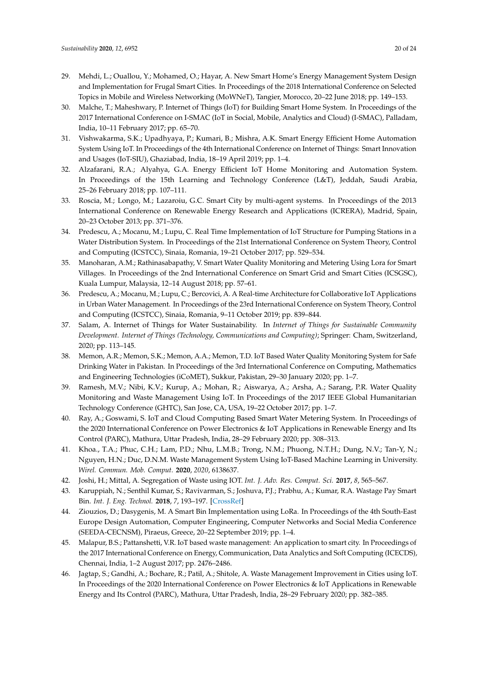- 29. Mehdi, L.; Ouallou, Y.; Mohamed, O.; Hayar, A. New Smart Home's Energy Management System Design and Implementation for Frugal Smart Cities. In Proceedings of the 2018 International Conference on Selected Topics in Mobile and Wireless Networking (MoWNeT), Tangier, Morocco, 20–22 June 2018; pp. 149–153.
- 30. Malche, T.; Maheshwary, P. Internet of Things (IoT) for Building Smart Home System. In Proceedings of the 2017 International Conference on I-SMAC (IoT in Social, Mobile, Analytics and Cloud) (I-SMAC), Palladam, India, 10–11 February 2017; pp. 65–70.
- 31. Vishwakarma, S.K.; Upadhyaya, P.; Kumari, B.; Mishra, A.K. Smart Energy Efficient Home Automation System Using IoT. In Proceedings of the 4th International Conference on Internet of Things: Smart Innovation and Usages (IoT-SIU), Ghaziabad, India, 18–19 April 2019; pp. 1–4.
- <span id="page-19-0"></span>32. Alzafarani, R.A.; Alyahya, G.A. Energy Efficient IoT Home Monitoring and Automation System. In Proceedings of the 15th Learning and Technology Conference (L&T), Jeddah, Saudi Arabia, 25–26 February 2018; pp. 107–111.
- <span id="page-19-1"></span>33. Roscia, M.; Longo, M.; Lazaroiu, G.C. Smart City by multi-agent systems. In Proceedings of the 2013 International Conference on Renewable Energy Research and Applications (ICRERA), Madrid, Spain, 20–23 October 2013; pp. 371–376.
- <span id="page-19-2"></span>34. Predescu, A.; Mocanu, M.; Lupu, C. Real Time Implementation of IoT Structure for Pumping Stations in a Water Distribution System. In Proceedings of the 21st International Conference on System Theory, Control and Computing (ICSTCC), Sinaia, Romania, 19–21 October 2017; pp. 529–534.
- <span id="page-19-3"></span>35. Manoharan, A.M.; Rathinasabapathy, V. Smart Water Quality Monitoring and Metering Using Lora for Smart Villages. In Proceedings of the 2nd International Conference on Smart Grid and Smart Cities (ICSGSC), Kuala Lumpur, Malaysia, 12–14 August 2018; pp. 57–61.
- <span id="page-19-4"></span>36. Predescu, A.; Mocanu, M.; Lupu, C.; Bercovici, A. A Real-time Architecture for Collaborative IoT Applications in Urban Water Management. In Proceedings of the 23rd International Conference on System Theory, Control and Computing (ICSTCC), Sinaia, Romania, 9–11 October 2019; pp. 839–844.
- <span id="page-19-5"></span>37. Salam, A. Internet of Things for Water Sustainability. In *Internet of Things for Sustainable Community Development. Internet of Things (Technology, Communications and Computing)*; Springer: Cham, Switzerland, 2020; pp. 113–145.
- <span id="page-19-6"></span>38. Memon, A.R.; Memon, S.K.; Memon, A.A.; Memon, T.D. IoT Based Water Quality Monitoring System for Safe Drinking Water in Pakistan. In Proceedings of the 3rd International Conference on Computing, Mathematics and Engineering Technologies (iCoMET), Sukkur, Pakistan, 29–30 January 2020; pp. 1–7.
- 39. Ramesh, M.V.; Nibi, K.V.; Kurup, A.; Mohan, R.; Aiswarya, A.; Arsha, A.; Sarang, P.R. Water Quality Monitoring and Waste Management Using IoT. In Proceedings of the 2017 IEEE Global Humanitarian Technology Conference (GHTC), San Jose, CA, USA, 19–22 October 2017; pp. 1–7.
- <span id="page-19-7"></span>40. Ray, A.; Goswami, S. IoT and Cloud Computing Based Smart Water Metering System. In Proceedings of the 2020 International Conference on Power Electronics & IoT Applications in Renewable Energy and Its Control (PARC), Mathura, Uttar Pradesh, India, 28–29 February 2020; pp. 308–313.
- <span id="page-19-8"></span>41. Khoa., T.A.; Phuc, C.H.; Lam, P.D.; Nhu, L.M.B.; Trong, N.M.; Phuong, N.T.H.; Dung, N.V.; Tan-Y, N.; Nguyen, H.N.; Duc, D.N.M. Waste Management System Using IoT-Based Machine Learning in University. *Wirel. Commun. Mob. Comput.* **2020**, *2020*, 6138637.
- <span id="page-19-9"></span>42. Joshi, H.; Mittal, A. Segregation of Waste using IOT. *Int. J. Adv. Res. Comput. Sci.* **2017**, *8*, 565–567.
- <span id="page-19-10"></span>43. Karuppiah, N.; Senthil Kumar, S.; Ravivarman, S.; Joshuva, P.J.; Prabhu, A.; Kumar, R.A. Wastage Pay Smart Bin. *Int. J. Eng. Technol.* **2018**, *7*, 193–197. [\[CrossRef\]](http://dx.doi.org/10.14419/ijet.v7i4.6.20461)
- <span id="page-19-11"></span>44. Ziouzios, D.; Dasygenis, M. A Smart Bin Implementation using LoRa. In Proceedings of the 4th South-East Europe Design Automation, Computer Engineering, Computer Networks and Social Media Conference (SEEDA-CECNSM), Piraeus, Greece, 20–22 September 2019; pp. 1–4.
- <span id="page-19-12"></span>45. Malapur, B.S.; Pattanshetti, V.R. IoT based waste management: An application to smart city. In Proceedings of the 2017 International Conference on Energy, Communication, Data Analytics and Soft Computing (ICECDS), Chennai, India, 1–2 August 2017; pp. 2476–2486.
- <span id="page-19-13"></span>46. Jagtap, S.; Gandhi, A.; Bochare, R.; Patil, A.; Shitole, A. Waste Management Improvement in Cities using IoT. In Proceedings of the 2020 International Conference on Power Electronics & IoT Applications in Renewable Energy and Its Control (PARC), Mathura, Uttar Pradesh, India, 28–29 February 2020; pp. 382–385.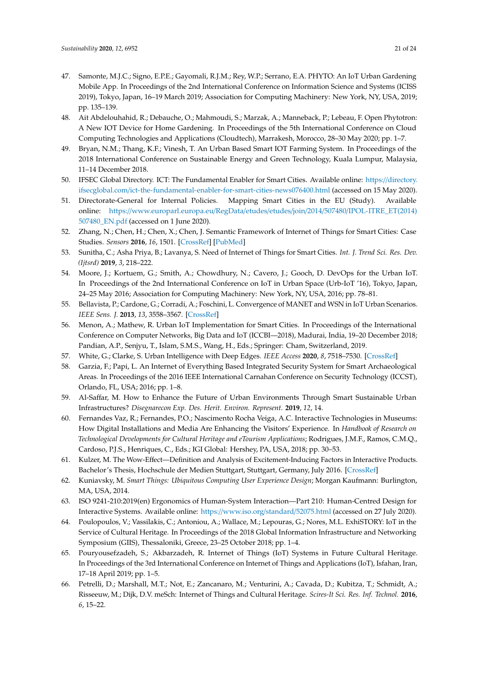- <span id="page-20-0"></span>47. Samonte, M.J.C.; Signo, E.P.E.; Gayomali, R.J.M.; Rey, W.P.; Serrano, E.A. PHYTO: An IoT Urban Gardening Mobile App. In Proceedings of the 2nd International Conference on Information Science and Systems (ICISS 2019), Tokyo, Japan, 16–19 March 2019; Association for Computing Machinery: New York, NY, USA, 2019; pp. 135–139.
- <span id="page-20-1"></span>48. Ait Abdelouhahid, R.; Debauche, O.; Mahmoudi, S.; Marzak, A.; Manneback, P.; Lebeau, F. Open Phytotron: A New IOT Device for Home Gardening. In Proceedings of the 5th International Conference on Cloud Computing Technologies and Applications (Cloudtech), Marrakesh, Morocco, 28–30 May 2020; pp. 1–7.
- <span id="page-20-2"></span>49. Bryan, N.M.; Thang, K.F.; Vinesh, T. An Urban Based Smart IOT Farming System. In Proceedings of the 2018 International Conference on Sustainable Energy and Green Technology, Kuala Lumpur, Malaysia, 11–14 December 2018.
- <span id="page-20-3"></span>50. IFSEC Global Directory. ICT: The Fundamental Enabler for Smart Cities. Available online: https://[directory.](https://directory.ifsecglobal.com/ict-the-fundamental-enabler-for-smart-cities-news076400.html) ifsecglobal.com/[ict-the-fundamental-enabler-for-smart-cities-news076400.html](https://directory.ifsecglobal.com/ict-the-fundamental-enabler-for-smart-cities-news076400.html) (accessed on 15 May 2020).
- <span id="page-20-4"></span>51. Directorate-General for Internal Policies. Mapping Smart Cities in the EU (Study). Available online: https://[www.europarl.europa.eu](https://www.europarl.europa.eu/RegData/etudes/etudes/join/2014/507480/IPOL-ITRE_ET(2014)507480_EN.pdf)/RegData/etudes/etudes/join/2014/507480/IPOL-ITRE\_ET(2014) [507480\\_EN.pdf](https://www.europarl.europa.eu/RegData/etudes/etudes/join/2014/507480/IPOL-ITRE_ET(2014)507480_EN.pdf) (accessed on 1 June 2020).
- <span id="page-20-5"></span>52. Zhang, N.; Chen, H.; Chen, X.; Chen, J. Semantic Framework of Internet of Things for Smart Cities: Case Studies. *Sensors* **2016**, *16*, 1501. [\[CrossRef\]](http://dx.doi.org/10.3390/s16091501) [\[PubMed\]](http://www.ncbi.nlm.nih.gov/pubmed/27649185)
- <span id="page-20-6"></span>53. Sunitha, C.; Asha Priya, B.; Lavanya, S. Need of Internet of Things for Smart Cities. *Int. J. Trend Sci. Res. Dev. (Ijtsrd)* **2019**, *3*, 218–222.
- 54. Moore, J.; Kortuem, G.; Smith, A.; Chowdhury, N.; Cavero, J.; Gooch, D. DevOps for the Urban IoT. In Proceedings of the 2nd International Conference on IoT in Urban Space (Urb-IoT '16), Tokyo, Japan, 24–25 May 2016; Association for Computing Machinery: New York, NY, USA, 2016; pp. 78–81.
- <span id="page-20-7"></span>55. Bellavista, P.; Cardone, G.; Corradi, A.; Foschini, L. Convergence of MANET and WSN in IoT Urban Scenarios. *IEEE Sens. J.* **2013**, *13*, 3558–3567. [\[CrossRef\]](http://dx.doi.org/10.1109/JSEN.2013.2272099)
- <span id="page-20-8"></span>56. Menon, A.; Mathew, R. Urban IoT Implementation for Smart Cities. In Proceedings of the International Conference on Computer Networks, Big Data and IoT (ICCBI—2018), Madurai, India, 19–20 December 2018; Pandian, A.P., Senjyu, T., Islam, S.M.S., Wang, H., Eds.; Springer: Cham, Switzerland, 2019.
- <span id="page-20-9"></span>57. White, G.; Clarke, S. Urban Intelligence with Deep Edges. *IEEE Access* **2020**, *8*, 7518–7530. [\[CrossRef\]](http://dx.doi.org/10.1109/ACCESS.2020.2963912)
- <span id="page-20-10"></span>58. Garzia, F.; Papi, L. An Internet of Everything Based Integrated Security System for Smart Archaeological Areas. In Proceedings of the 2016 IEEE International Carnahan Conference on Security Technology (ICCST), Orlando, FL, USA; 2016; pp. 1–8.
- <span id="page-20-11"></span>59. Al-Saffar, M. How to Enhance the Future of Urban Environments Through Smart Sustainable Urban Infrastructures? *Disegnarecon Exp. Des. Herit. Environ. Represent.* **2019**, *12*, 14.
- <span id="page-20-12"></span>60. Fernandes Vaz, R.; Fernandes, P.O.; Nascimento Rocha Veiga, A.C. Interactive Technologies in Museums: How Digital Installations and Media Are Enhancing the Visitors' Experience. In *Handbook of Research on Technological Developments for Cultural Heritage and eTourism Applications*; Rodrigues, J.M.F., Ramos, C.M.Q., Cardoso, P.J.S., Henriques, C., Eds.; IGI Global: Hershey, PA, USA, 2018; pp. 30–53.
- <span id="page-20-13"></span>61. Kulzer, M. The Wow-Effect—Definition and Analysis of Excitement-Inducing Factors in Interactive Products. Bachelor's Thesis, Hochschule der Medien Stuttgart, Stuttgart, Germany, July 2016. [\[CrossRef\]](http://dx.doi.org/10.13140/RG.2.2.25350.16969)
- <span id="page-20-14"></span>62. Kuniavsky, M. *Smart Things: Ubiquitous Computing User Experience Design*; Morgan Kaufmann: Burlington, MA, USA, 2014.
- <span id="page-20-15"></span>63. ISO 9241-210:2019(en) Ergonomics of Human-System Interaction—Part 210: Human-Centred Design for Interactive Systems. Available online: https://[www.iso.org](https://www.iso.org/standard/52075.html)/standard/52075.html (accessed on 27 July 2020).
- <span id="page-20-16"></span>64. Poulopoulos, V.; Vassilakis, C.; Antoniou, A.; Wallace, M.; Lepouras, G.; Nores, M.L. ExhiSTORY: IoT in the Service of Cultural Heritage. In Proceedings of the 2018 Global Information Infrastructure and Networking Symposium (GIIS), Thessaloniki, Greece, 23–25 October 2018; pp. 1–4.
- <span id="page-20-17"></span>65. Pouryousefzadeh, S.; Akbarzadeh, R. Internet of Things (IoT) Systems in Future Cultural Heritage. In Proceedings of the 3rd International Conference on Internet of Things and Applications (IoT), Isfahan, Iran, 17–18 April 2019; pp. 1–5.
- <span id="page-20-18"></span>66. Petrelli, D.; Marshall, M.T.; Not, E.; Zancanaro, M.; Venturini, A.; Cavada, D.; Kubitza, T.; Schmidt, A.; Risseeuw, M.; Dijk, D.V. meSch: Internet of Things and Cultural Heritage. *Scires-It Sci. Res. Inf. Technol.* **2016**, *6*, 15–22.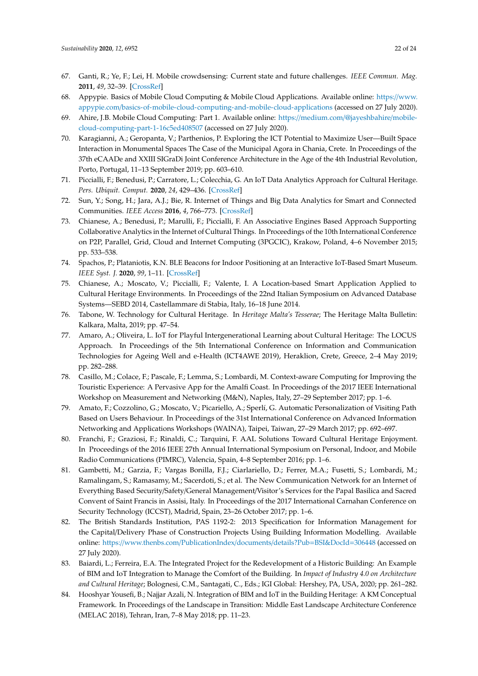- <span id="page-21-0"></span>67. Ganti, R.; Ye, F.; Lei, H. Mobile crowdsensing: Current state and future challenges. *IEEE Commun. Mag.* **2011**, *49*, 32–39. [\[CrossRef\]](http://dx.doi.org/10.1109/MCOM.2011.6069707)
- <span id="page-21-1"></span>68. Appypie. Basics of Mobile Cloud Computing & Mobile Cloud Applications. Available online: https://[www.](https://www.appypie.com/basics-of-mobile-cloud-computing-and-mobile-cloud-applications) appypie.com/[basics-of-mobile-cloud-computing-and-mobile-cloud-applications](https://www.appypie.com/basics-of-mobile-cloud-computing-and-mobile-cloud-applications) (accessed on 27 July 2020).
- <span id="page-21-2"></span>69. Ahire, J.B. Mobile Cloud Computing: Part 1. Available online: https://medium.com/[@jayeshbahire](https://medium.com/@jayeshbahire/mobile-cloud-computing-part-1-16c5ed408507)/mobile[cloud-computing-part-1-16c5ed408507](https://medium.com/@jayeshbahire/mobile-cloud-computing-part-1-16c5ed408507) (accessed on 27 July 2020).
- <span id="page-21-3"></span>70. Karagianni, A.; Geropanta, V.; Parthenios, P. Exploring the ICT Potential to Maximize User—Built Space Interaction in Monumental Spaces The Case of the Municipal Agora in Chania, Crete. In Proceedings of the 37th eCAADe and XXIII SIGraDi Joint Conference Architecture in the Age of the 4th Industrial Revolution, Porto, Portugal, 11–13 September 2019; pp. 603–610.
- <span id="page-21-4"></span>71. Piccialli, F.; Benedusi, P.; Carratore, L.; Colecchia, G. An IoT Data Analytics Approach for Cultural Heritage. *Pers. Ubiquit. Comput.* **2020**, *24*, 429–436. [\[CrossRef\]](http://dx.doi.org/10.1007/s00779-019-01323-z)
- 72. Sun, Y.; Song, H.; Jara, A.J.; Bie, R. Internet of Things and Big Data Analytics for Smart and Connected Communities. *IEEE Access* **2016**, *4*, 766–773. [\[CrossRef\]](http://dx.doi.org/10.1109/ACCESS.2016.2529723)
- <span id="page-21-5"></span>73. Chianese, A.; Benedusi, P.; Marulli, F.; Piccialli, F. An Associative Engines Based Approach Supporting Collaborative Analytics in the Internet of Cultural Things. In Proceedings of the 10th International Conference on P2P, Parallel, Grid, Cloud and Internet Computing (3PGCIC), Krakow, Poland, 4–6 November 2015; pp. 533–538.
- <span id="page-21-6"></span>74. Spachos, P.; Plataniotis, K.N. BLE Beacons for Indoor Positioning at an Interactive IoT-Based Smart Museum. *IEEE Syst. J.* **2020**, *99*, 1–11. [\[CrossRef\]](http://dx.doi.org/10.1109/JSYST.2020.2969088)
- <span id="page-21-7"></span>75. Chianese, A.; Moscato, V.; Piccialli, F.; Valente, I. A Location-based Smart Application Applied to Cultural Heritage Environments. In Proceedings of the 22nd Italian Symposium on Advanced Database Systems—SEBD 2014, Castellammare di Stabia, Italy, 16–18 June 2014.
- <span id="page-21-8"></span>76. Tabone, W. Technology for Cultural Heritage. In *Heritage Malta's Tesserae*; The Heritage Malta Bulletin: Kalkara, Malta, 2019; pp. 47–54.
- <span id="page-21-9"></span>77. Amaro, A.; Oliveira, L. IoT for Playful Intergenerational Learning about Cultural Heritage: The LOCUS Approach. In Proceedings of the 5th International Conference on Information and Communication Technologies for Ageing Well and e-Health (ICT4AWE 2019), Heraklion, Crete, Greece, 2–4 May 2019; pp. 282–288.
- <span id="page-21-10"></span>78. Casillo, M.; Colace, F.; Pascale, F.; Lemma, S.; Lombardi, M. Context-aware Computing for Improving the Touristic Experience: A Pervasive App for the Amalfi Coast. In Proceedings of the 2017 IEEE International Workshop on Measurement and Networking (M&N), Naples, Italy, 27–29 September 2017; pp. 1–6.
- <span id="page-21-11"></span>79. Amato, F.; Cozzolino, G.; Moscato, V.; Picariello, A.; Sperlí, G. Automatic Personalization of Visiting Path Based on Users Behaviour. In Proceedings of the 31st International Conference on Advanced Information Networking and Applications Workshops (WAINA), Taipei, Taiwan, 27–29 March 2017; pp. 692–697.
- <span id="page-21-12"></span>80. Franchi, F.; Graziosi, F.; Rinaldi, C.; Tarquini, F. AAL Solutions Toward Cultural Heritage Enjoyment. In Proceedings of the 2016 IEEE 27th Annual International Symposium on Personal, Indoor, and Mobile Radio Communications (PIMRC), Valencia, Spain, 4–8 September 2016; pp. 1–6.
- <span id="page-21-13"></span>81. Gambetti, M.; Garzia, F.; Vargas Bonilla, F.J.; Ciarlariello, D.; Ferrer, M.A.; Fusetti, S.; Lombardi, M.; Ramalingam, S.; Ramasamy, M.; Sacerdoti, S.; et al. The New Communication Network for an Internet of Everything Based Security/Safety/General Management/Visitor's Services for the Papal Basilica and Sacred Convent of Saint Francis in Assisi, Italy. In Proceedings of the 2017 International Carnahan Conference on Security Technology (ICCST), Madrid, Spain, 23–26 October 2017; pp. 1–6.
- <span id="page-21-14"></span>82. The British Standards Institution, PAS 1192-2: 2013 Specification for Information Management for the Capital/Delivery Phase of Construction Projects Using Building Information Modelling. Available online: https://[www.thenbs.com](https://www.thenbs.com/PublicationIndex/documents/details?Pub=BSI&DocId=306448)/PublicationIndex/documents/details?Pub=BSI&DocId=306448 (accessed on 27 July 2020).
- <span id="page-21-15"></span>83. Baiardi, L.; Ferreira, E.A. The Integrated Project for the Redevelopment of a Historic Building: An Example of BIM and IoT Integration to Manage the Comfort of the Building. In *Impact of Industry 4.0 on Architecture and Cultural Heritage*; Bolognesi, C.M., Santagati, C., Eds.; IGI Global: Hershey, PA, USA, 2020; pp. 261–282.
- <span id="page-21-16"></span>84. Hooshyar Yousefi, B.; Najjar Azali, N. Integration of BIM and IoT in the Building Heritage: A KM Conceptual Framework. In Proceedings of the Landscape in Transition: Middle East Landscape Architecture Conference (MELAC 2018), Tehran, Iran, 7–8 May 2018; pp. 11–23.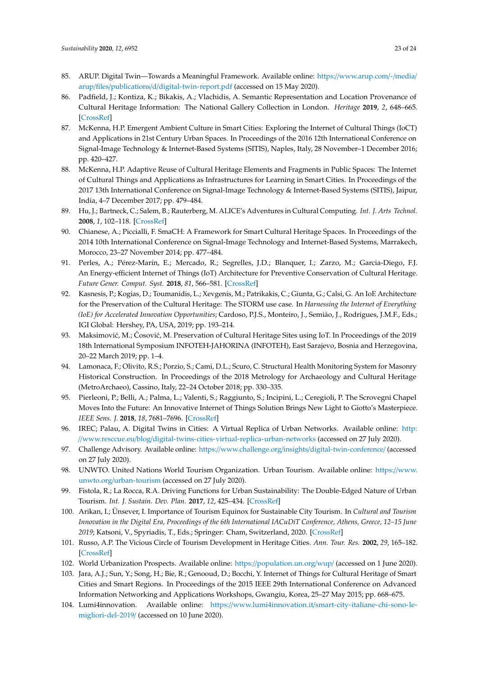- <span id="page-22-0"></span>85. ARUP. Digital Twin—Towards a Meaningful Framework. Available online: https://[www.arup.com](https://www.arup.com/-/media/arup/files/publications/d/digital-twin-report.pdf)/-/media/ arup/files/publications/d/[digital-twin-report.pdf](https://www.arup.com/-/media/arup/files/publications/d/digital-twin-report.pdf) (accessed on 15 May 2020).
- <span id="page-22-1"></span>86. Padfield, J.; Kontiza, K.; Bikakis, A.; Vlachidis, A. Semantic Representation and Location Provenance of Cultural Heritage Information: The National Gallery Collection in London. *Heritage* **2019**, *2*, 648–665. [\[CrossRef\]](http://dx.doi.org/10.3390/heritage2010042)
- <span id="page-22-2"></span>87. McKenna, H.P. Emergent Ambient Culture in Smart Cities: Exploring the Internet of Cultural Things (IoCT) and Applications in 21st Century Urban Spaces. In Proceedings of the 2016 12th International Conference on Signal-Image Technology & Internet-Based Systems (SITIS), Naples, Italy, 28 November–1 December 2016; pp. 420–427.
- <span id="page-22-3"></span>88. McKenna, H.P. Adaptive Reuse of Cultural Heritage Elements and Fragments in Public Spaces: The Internet of Cultural Things and Applications as Infrastructures for Learning in Smart Cities. In Proceedings of the 2017 13th International Conference on Signal-Image Technology & Internet-Based Systems (SITIS), Jaipur, India, 4–7 December 2017; pp. 479–484.
- <span id="page-22-4"></span>89. Hu, J.; Bartneck, C.; Salem, B.; Rauterberg, M. ALICE's Adventures in Cultural Computing. *Int. J. Arts Technol.* **2008**, *1*, 102–118. [\[CrossRef\]](http://dx.doi.org/10.1504/IJART.2008.019885)
- <span id="page-22-5"></span>90. Chianese, A.; Piccialli, F. SmaCH: A Framework for Smart Cultural Heritage Spaces. In Proceedings of the 2014 10th International Conference on Signal-Image Technology and Internet-Based Systems, Marrakech, Morocco, 23–27 November 2014; pp. 477–484.
- <span id="page-22-6"></span>91. Perles, A.; Pérez-Marín, E.; Mercado, R.; Segrelles, J.D.; Blanquer, I.; Zarzo, M.; Garcia-Diego, F.J. An Energy-efficient Internet of Things (IoT) Architecture for Preventive Conservation of Cultural Heritage. *Future Gener. Comput. Syst.* **2018**, *81*, 566–581. [\[CrossRef\]](http://dx.doi.org/10.1016/j.future.2017.06.030)
- 92. Kasnesis, P.; Kogias, D.; Toumanidis, L.; Xevgenis, M.; Patrikakis, C.; Giunta, G.; Calsi, G. An IoE Architecture for the Preservation of the Cultural Heritage: The STORM use case. In *Harnessing the Internet of Everything (IoE) for Accelerated Innovation Opportunities*; Cardoso, P.J.S., Monteiro, J., Semião, J., Rodrigues, J.M.F., Eds.; IGI Global: Hershey, PA, USA, 2019; pp. 193–214.
- <span id="page-22-7"></span>93. Maksimović, M.; Cosović, M. Preservation of Cultural Heritage Sites using IoT. In Proceedings of the 2019 18th International Symposium INFOTEH-JAHORINA (INFOTEH), East Sarajevo, Bosnia and Herzegovina, 20–22 March 2019; pp. 1–4.
- <span id="page-22-8"></span>94. Lamonaca, F.; Olivito, R.S.; Porzio, S.; Cami, D.L.; Scuro, C. Structural Health Monitoring System for Masonry Historical Construction. In Proceedings of the 2018 Metrology for Archaeology and Cultural Heritage (MetroArchaeo), Cassino, Italy, 22–24 October 2018; pp. 330–335.
- <span id="page-22-9"></span>95. Pierleoni, P.; Belli, A.; Palma, L.; Valenti, S.; Raggiunto, S.; Incipini, L.; Ceregioli, P. The Scrovegni Chapel Moves Into the Future: An Innovative Internet of Things Solution Brings New Light to Giotto's Masterpiece. *IEEE Sens. J.* **2018**, *18*, 7681–7696. [\[CrossRef\]](http://dx.doi.org/10.1109/JSEN.2018.2858543)
- <span id="page-22-10"></span>96. IREC; Palau, A. Digital Twins in Cities: A Virtual Replica of Urban Networks. Available online: [http:](http://www.resccue.eu/blog/digital-twins-cities-virtual-replica-urban-networks) //www.resccue.eu/blog/[digital-twins-cities-virtual-replica-urban-networks](http://www.resccue.eu/blog/digital-twins-cities-virtual-replica-urban-networks) (accessed on 27 July 2020).
- <span id="page-22-11"></span>97. Challenge Advisory. Available online: https://www.challenge.org/insights/[digital-twin-conference](https://www.challenge.org/insights/digital-twin-conference/)/ (accessed on 27 July 2020).
- <span id="page-22-12"></span>98. UNWTO. United Nations World Tourism Organization. Urban Tourism. Available online: https://[www.](https://www.unwto.org/urban-tourism) unwto.org/[urban-tourism](https://www.unwto.org/urban-tourism) (accessed on 27 July 2020).
- <span id="page-22-13"></span>99. Fistola, R.; La Rocca, R.A. Driving Functions for Urban Sustainability: The Double-Edged Nature of Urban Tourism. *Int. J. Sustain. Dev. Plan.* **2017**, *12*, 425–434. [\[CrossRef\]](http://dx.doi.org/10.2495/SDP-V12-N3-425-434)
- <span id="page-22-14"></span>100. Arikan, I.; Ünsever, I. Importance of Tourism Equinox for Sustainable City Tourism. In *Cultural and Tourism Innovation in the Digital Era, Proceedings of the 6th International IACuDiT Conference, Athens, Greece, 12–15 June 2019*; Katsoni, V., Spyriadis, T., Eds.; Springer: Cham, Switzerland, 2020. [\[CrossRef\]](http://dx.doi.org/10.1007/978-3-030-36342-0_35)
- <span id="page-22-15"></span>101. Russo, A.P. The Vicious Circle of Tourism Development in Heritage Cities. *Ann. Tour. Res.* **2002**, *29*, 165–182. [\[CrossRef\]](http://dx.doi.org/10.1016/S0160-7383(01)00029-9)
- <span id="page-22-16"></span>102. World Urbanization Prospects. Available online: https://[population.un.org](https://population.un.org/wup/)/wup/ (accessed on 1 June 2020).
- <span id="page-22-17"></span>103. Jara, A.J.; Sun, Y.; Song, H.; Bie, R.; Genooud, D.; Bocchi, Y. Internet of Things for Cultural Heritage of Smart Cities and Smart Regions. In Proceedings of the 2015 IEEE 29th International Conference on Advanced Information Networking and Applications Workshops, Gwangiu, Korea, 25–27 May 2015; pp. 668–675.
- <span id="page-22-18"></span>104. Lumi4innovation. Available online: https://www.lumi4innovation.it/[smart-city-italiane-chi-sono-le](https://www.lumi4innovation.it/smart-city-italiane-chi-sono-le-migliori-del-2019/)[migliori-del-2019](https://www.lumi4innovation.it/smart-city-italiane-chi-sono-le-migliori-del-2019/)/ (accessed on 10 June 2020).